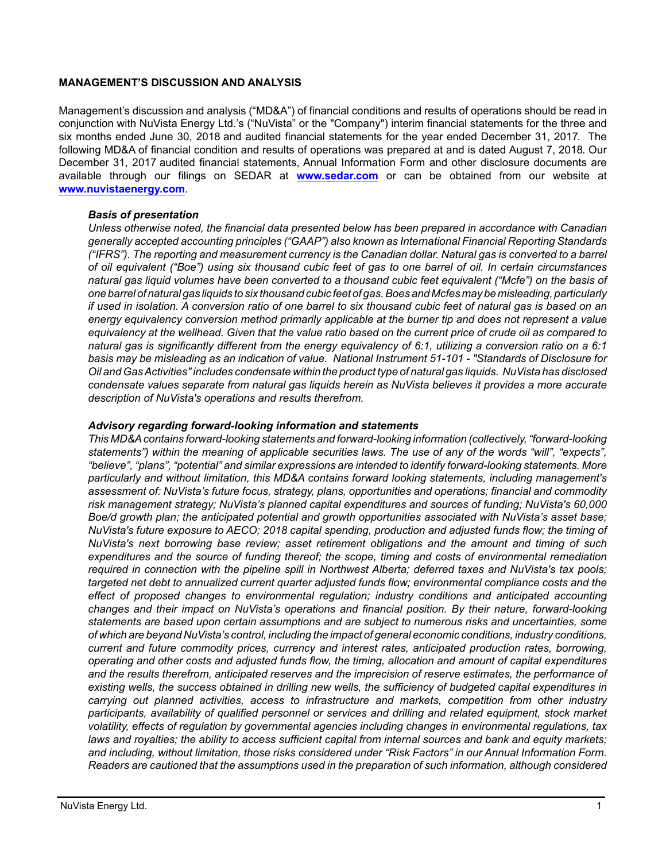### **MANAGEMENT'S DISCUSSION AND ANALYSIS**

Management's discussion and analysis ("MD&A") of financial conditions and results of operations should be read in conjunction with NuVista Energy Ltd.'s ("NuVista" or the "Company") interim financial statements for the three and six months ended June 30, 2018 and audited financial statements for the year ended December 31, 2017. The following MD&A of financial condition and results of operations was prepared at and is dated August 7, 2018. Our December 31, 2017 audited financial statements, Annual Information Form and other disclosure documents are available through our filings on SEDAR at **[www.sedar.com](http://www.sedar.com)** or can be obtained from our website at **[www.nuvistaenergy.com](http://www.nuvistaenergy.com)**.

### *Basis of presentation*

*Unless otherwise noted, the financial data presented below has been prepared in accordance with Canadian generally accepted accounting principles ("GAAP") also known as International Financial Reporting Standards ("IFRS"). The reporting and measurement currency is the Canadian dollar. Natural gas is converted to a barrel of oil equivalent ("Boe") using six thousand cubic feet of gas to one barrel of oil. In certain circumstances natural gas liquid volumes have been converted to a thousand cubic feet equivalent ("Mcfe") on the basis of one barrel of natural gas liquids to six thousand cubic feet of gas. Boes and Mcfes may be misleading, particularly if used in isolation. A conversion ratio of one barrel to six thousand cubic feet of natural gas is based on an energy equivalency conversion method primarily applicable at the burner tip and does not represent a value equivalency at the wellhead. Given that the value ratio based on the current price of crude oil as compared to natural gas is significantly different from the energy equivalency of 6:1, utilizing a conversion ratio on a 6:1 basis may be misleading as an indication of value. National Instrument 51-101 - "Standards of Disclosure for Oil and Gas Activities" includes condensate within the product type of natural gas liquids. NuVista has disclosed condensate values separate from natural gas liquids herein as NuVista believes it provides a more accurate description of NuVista's operations and results therefrom.* 

#### *Advisory regarding forward-looking information and statements*

*This MD&A contains forward-looking statements and forward-looking information (collectively, "forward-looking statements") within the meaning of applicable securities laws. The use of any of the words "will", "expects", "believe", "plans", "potential" and similar expressions are intended to identify forward-looking statements. More particularly and without limitation, this MD&A contains forward looking statements, including management's assessment of: NuVista's future focus, strategy, plans, opportunities and operations; financial and commodity risk management strategy; NuVista's planned capital expenditures and sources of funding; NuVista's 60,000 Boe/d growth plan; the anticipated potential and growth opportunities associated with NuVista's asset base; NuVista's future exposure to AECO; 2018 capital spending, production and adjusted funds flow; the timing of NuVista's next borrowing base review; asset retirement obligations and the amount and timing of such expenditures and the source of funding thereof; the scope, timing and costs of environmental remediation required in connection with the pipeline spill in Northwest Alberta; deferred taxes and NuVista's tax pools; targeted net debt to annualized current quarter adjusted funds flow; environmental compliance costs and the effect of proposed changes to environmental regulation; industry conditions and anticipated accounting changes and their impact on NuVista's operations and financial position. By their nature, forward-looking statements are based upon certain assumptions and are subject to numerous risks and uncertainties, some of which are beyond NuVista's control, including the impact of general economic conditions, industry conditions, current and future commodity prices, currency and interest rates, anticipated production rates, borrowing, operating and other costs and adjusted funds flow, the timing, allocation and amount of capital expenditures and the results therefrom, anticipated reserves and the imprecision of reserve estimates, the performance of existing wells, the success obtained in drilling new wells, the sufficiency of budgeted capital expenditures in carrying out planned activities, access to infrastructure and markets, competition from other industry participants, availability of qualified personnel or services and drilling and related equipment, stock market volatility, effects of regulation by governmental agencies including changes in environmental regulations, tax laws and royalties; the ability to access sufficient capital from internal sources and bank and equity markets; and including, without limitation, those risks considered under "Risk Factors" in our Annual Information Form. Readers are cautioned that the assumptions used in the preparation of such information, although considered*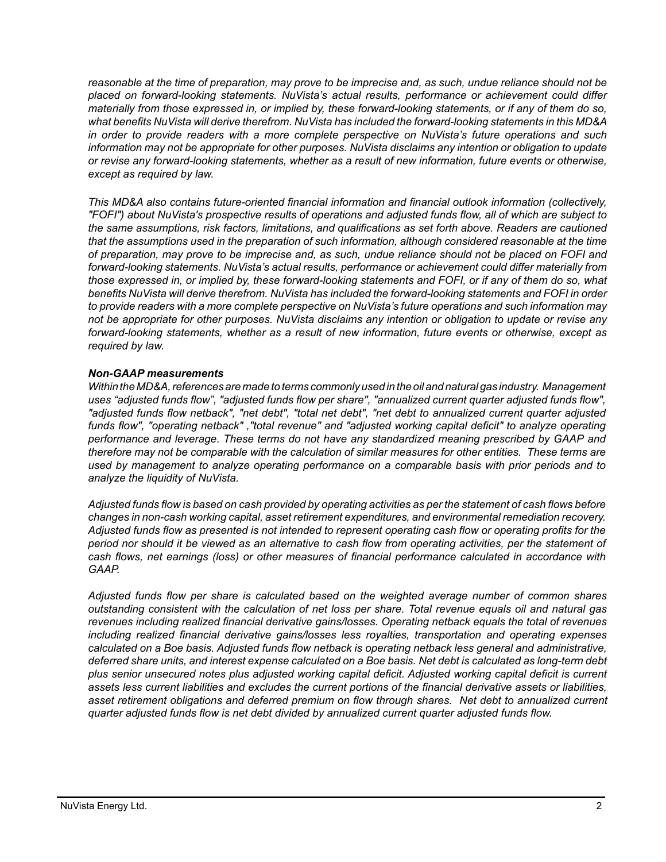*reasonable at the time of preparation, may prove to be imprecise and, as such, undue reliance should not be placed on forward-looking statements. NuVista's actual results, performance or achievement could differ materially from those expressed in, or implied by, these forward-looking statements, or if any of them do so, what benefits NuVista will derive therefrom. NuVista has included the forward-looking statements in this MD&A in order to provide readers with a more complete perspective on NuVista's future operations and such information may not be appropriate for other purposes. NuVista disclaims any intention or obligation to update or revise any forward-looking statements, whether as a result of new information, future events or otherwise, except as required by law.*

*This MD&A also contains future-oriented financial information and financial outlook information (collectively, "FOFI") about NuVista's prospective results of operations and adjusted funds flow, all of which are subject to the same assumptions, risk factors, limitations, and qualifications as set forth above. Readers are cautioned that the assumptions used in the preparation of such information, although considered reasonable at the time of preparation, may prove to be imprecise and, as such, undue reliance should not be placed on FOFI and forward-looking statements. NuVista's actual results, performance or achievement could differ materially from those expressed in, or implied by, these forward-looking statements and FOFI, or if any of them do so, what benefits NuVista will derive therefrom. NuVista has included the forward-looking statements and FOFI in order to provide readers with a more complete perspective on NuVista's future operations and such information may not be appropriate for other purposes. NuVista disclaims any intention or obligation to update or revise any forward-looking statements, whether as a result of new information, future events or otherwise, except as required by law.*

### *Non-GAAP measurements*

*Within the MD&A, references are made to terms commonly used in the oil and natural gas industry. Management uses "adjusted funds flow", "adjusted funds flow per share", "annualized current quarter adjusted funds flow", "adjusted funds flow netback", "net debt", "total net debt", "net debt to annualized current quarter adjusted funds flow", "operating netback" ,"total revenue" and "adjusted working capital deficit" to analyze operating performance and leverage. These terms do not have any standardized meaning prescribed by GAAP and therefore may not be comparable with the calculation of similar measures for other entities. These terms are used by management to analyze operating performance on a comparable basis with prior periods and to analyze the liquidity of NuVista.* 

*Adjusted funds flow is based on cash provided by operating activities as per the statement of cash flows before changes in non-cash working capital, asset retirement expenditures, and environmental remediation recovery. Adjusted funds flow as presented is not intended to represent operating cash flow or operating profits for the period nor should it be viewed as an alternative to cash flow from operating activities, per the statement of cash flows, net earnings (loss) or other measures of financial performance calculated in accordance with GAAP.* 

*Adjusted funds flow per share is calculated based on the weighted average number of common shares outstanding consistent with the calculation of net loss per share. Total revenue equals oil and natural gas revenues including realized financial derivative gains/losses. Operating netback equals the total of revenues including realized financial derivative gains/losses less royalties, transportation and operating expenses calculated on a Boe basis. Adjusted funds flow netback is operating netback less general and administrative, deferred share units, and interest expense calculated on a Boe basis. Net debt is calculated as long-term debt plus senior unsecured notes plus adjusted working capital deficit. Adjusted working capital deficit is current assets less current liabilities and excludes the current portions of the financial derivative assets or liabilities, asset retirement obligations and deferred premium on flow through shares. Net debt to annualized current quarter adjusted funds flow is net debt divided by annualized current quarter adjusted funds flow.*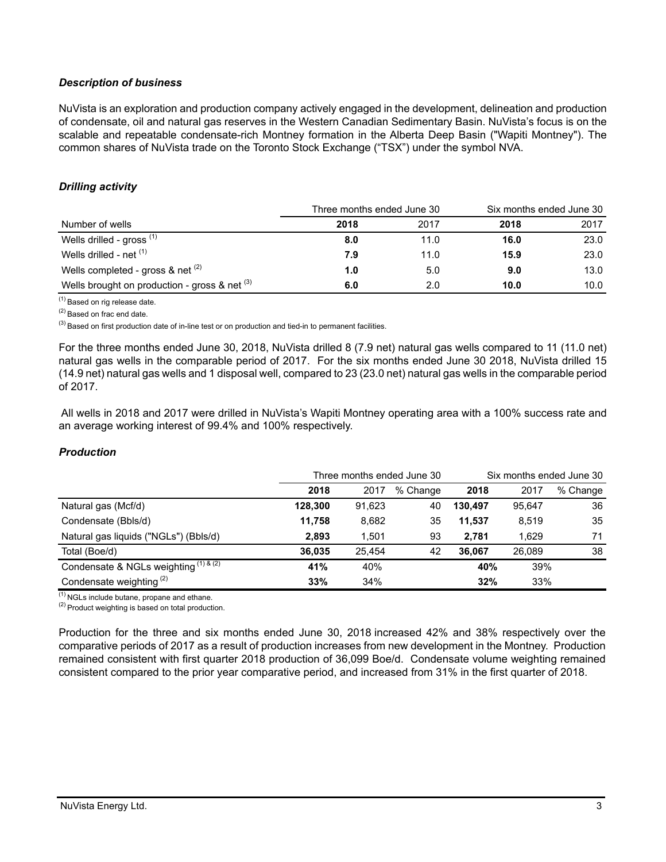## *Description of business*

NuVista is an exploration and production company actively engaged in the development, delineation and production of condensate, oil and natural gas reserves in the Western Canadian Sedimentary Basin. NuVista's focus is on the scalable and repeatable condensate-rich Montney formation in the Alberta Deep Basin ("Wapiti Montney"). The common shares of NuVista trade on the Toronto Stock Exchange ("TSX") under the symbol NVA.

# *Drilling activity*

|                                                 | Three months ended June 30 |      | Six months ended June 30 |      |  |
|-------------------------------------------------|----------------------------|------|--------------------------|------|--|
| Number of wells                                 | 2018                       | 2017 | 2018                     | 2017 |  |
| Wells drilled - gross (1)                       | 8.0                        | 11.0 | 16.0                     | 23.0 |  |
| Wells drilled - net (1)                         | 7.9                        | 11.0 | 15.9                     | 23.0 |  |
| Wells completed - gross & net $(2)$             | 1.0                        | 5.0  | 9.0                      | 13.0 |  |
| Wells brought on production - gross & net $(3)$ | 6.0                        | 2.0  | 10.0                     | 10.0 |  |

(1) Based on rig release date.

(2) Based on frac end date.

 $<sup>(3)</sup>$  Based on first production date of in-line test or on production and tied-in to permanent facilities.</sup>

For the three months ended June 30, 2018, NuVista drilled 8 (7.9 net) natural gas wells compared to 11 (11.0 net) natural gas wells in the comparable period of 2017. For the six months ended June 30 2018, NuVista drilled 15 (14.9 net) natural gas wells and 1 disposal well, compared to 23 (23.0 net) natural gas wells in the comparable period of 2017.

 All wells in 2018 and 2017 were drilled in NuVista's Wapiti Montney operating area with a 100% success rate and an average working interest of 99.4% and 100% respectively.

### *Production*

|                                           |         |        | Three months ended June 30 | Six months ended June 30 |        |          |  |
|-------------------------------------------|---------|--------|----------------------------|--------------------------|--------|----------|--|
|                                           | 2018    | 2017   | % Change                   | 2018                     | 2017   | % Change |  |
| Natural gas (Mcf/d)                       | 128,300 | 91,623 | 40                         | 130.497                  | 95.647 | 36       |  |
| Condensate (Bbls/d)                       | 11.758  | 8,682  | 35                         | 11.537                   | 8,519  | 35       |  |
| Natural gas liquids ("NGLs") (Bbls/d)     | 2.893   | 1.501  | 93                         | 2.781                    | 1.629  | 71       |  |
| Total (Boe/d)                             | 36.035  | 25.454 | 42                         | 36.067                   | 26.089 | 38       |  |
| Condensate & NGLs weighting $(1)$ & $(2)$ | 41%     | 40%    |                            | 40%                      | 39%    |          |  |
| Condensate weighting <sup>(2)</sup>       | 33%     | 34%    |                            | 32%                      | 33%    |          |  |

 $(1)$  NGLs include butane, propane and ethane.

 $(2)$  Product weighting is based on total production.

Production for the three and six months ended June 30, 2018 increased 42% and 38% respectively over the comparative periods of 2017 as a result of production increases from new development in the Montney. Production remained consistent with first quarter 2018 production of 36,099 Boe/d. Condensate volume weighting remained consistent compared to the prior year comparative period, and increased from 31% in the first quarter of 2018.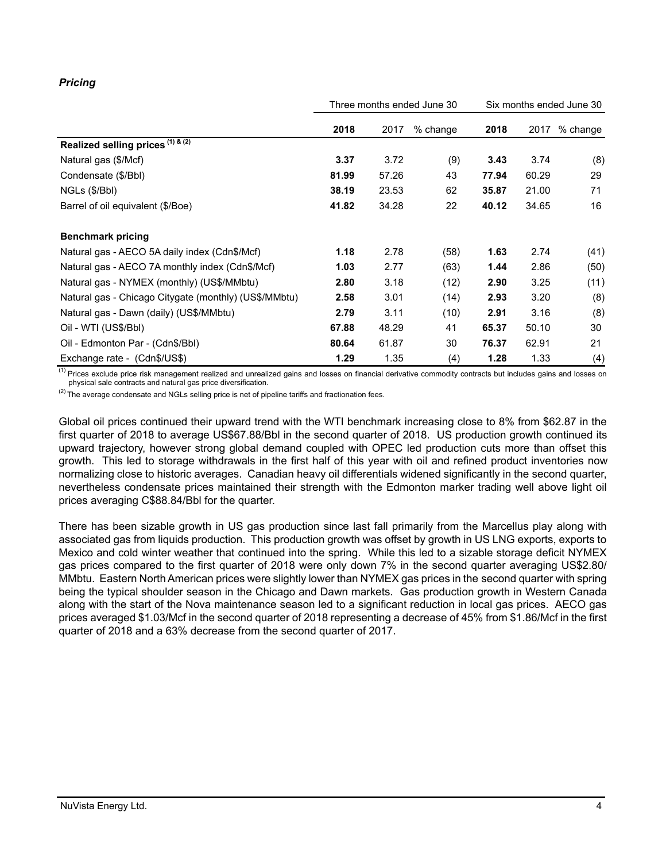# *Pricing*

|                                                       | Three months ended June 30 |       |          | Six months ended June 30 |       |          |
|-------------------------------------------------------|----------------------------|-------|----------|--------------------------|-------|----------|
|                                                       | 2018                       | 2017  | % change | 2018                     | 2017  | % change |
| Realized selling prices (1) & (2)                     |                            |       |          |                          |       |          |
| Natural gas (\$/Mcf)                                  | 3.37                       | 3.72  | (9)      | 3.43                     | 3.74  | (8)      |
| Condensate (\$/Bbl)                                   | 81.99                      | 57.26 | 43       | 77.94                    | 60.29 | 29       |
| NGLs (\$/Bbl)                                         | 38.19                      | 23.53 | 62       | 35.87                    | 21.00 | 71       |
| Barrel of oil equivalent (\$/Boe)                     | 41.82                      | 34.28 | 22       | 40.12                    | 34.65 | 16       |
| <b>Benchmark pricing</b>                              |                            |       |          |                          |       |          |
| Natural gas - AECO 5A daily index (Cdn\$/Mcf)         | 1.18                       | 2.78  | (58)     | 1.63                     | 2.74  | (41)     |
| Natural gas - AECO 7A monthly index (Cdn\$/Mcf)       | 1.03                       | 2.77  | (63)     | 1.44                     | 2.86  | (50)     |
| Natural gas - NYMEX (monthly) (US\$/MMbtu)            | 2.80                       | 3.18  | (12)     | 2.90                     | 3.25  | (11)     |
| Natural gas - Chicago Citygate (monthly) (US\$/MMbtu) | 2.58                       | 3.01  | (14)     | 2.93                     | 3.20  | (8)      |
| Natural gas - Dawn (daily) (US\$/MMbtu)               | 2.79                       | 3.11  | (10)     | 2.91                     | 3.16  | (8)      |
| Oil - WTI (US\$/BbI)                                  | 67.88                      | 48.29 | 41       | 65.37                    | 50.10 | 30       |
| Oil - Edmonton Par - (Cdn\$/Bbl)                      | 80.64                      | 61.87 | 30       | 76.37                    | 62.91 | 21       |
| Exchange rate - (Cdn\$/US\$)                          | 1.29                       | 1.35  | (4)      | 1.28                     | 1.33  | (4)      |

<sup>(1)</sup> Prices exclude price risk management realized and unrealized gains and losses on financial derivative commodity contracts but includes gains and losses on physical sale contracts and natural gas price diversification.

 $(2)$  The average condensate and NGLs selling price is net of pipeline tariffs and fractionation fees.

Global oil prices continued their upward trend with the WTI benchmark increasing close to 8% from \$62.87 in the first quarter of 2018 to average US\$67.88/Bbl in the second quarter of 2018. US production growth continued its upward trajectory, however strong global demand coupled with OPEC led production cuts more than offset this growth. This led to storage withdrawals in the first half of this year with oil and refined product inventories now normalizing close to historic averages. Canadian heavy oil differentials widened significantly in the second quarter, nevertheless condensate prices maintained their strength with the Edmonton marker trading well above light oil prices averaging C\$88.84/Bbl for the quarter.

There has been sizable growth in US gas production since last fall primarily from the Marcellus play along with associated gas from liquids production. This production growth was offset by growth in US LNG exports, exports to Mexico and cold winter weather that continued into the spring. While this led to a sizable storage deficit NYMEX gas prices compared to the first quarter of 2018 were only down 7% in the second quarter averaging US\$2.80/ MMbtu. Eastern North American prices were slightly lower than NYMEX gas prices in the second quarter with spring being the typical shoulder season in the Chicago and Dawn markets. Gas production growth in Western Canada along with the start of the Nova maintenance season led to a significant reduction in local gas prices. AECO gas prices averaged \$1.03/Mcf in the second quarter of 2018 representing a decrease of 45% from \$1.86/Mcf in the first quarter of 2018 and a 63% decrease from the second quarter of 2017.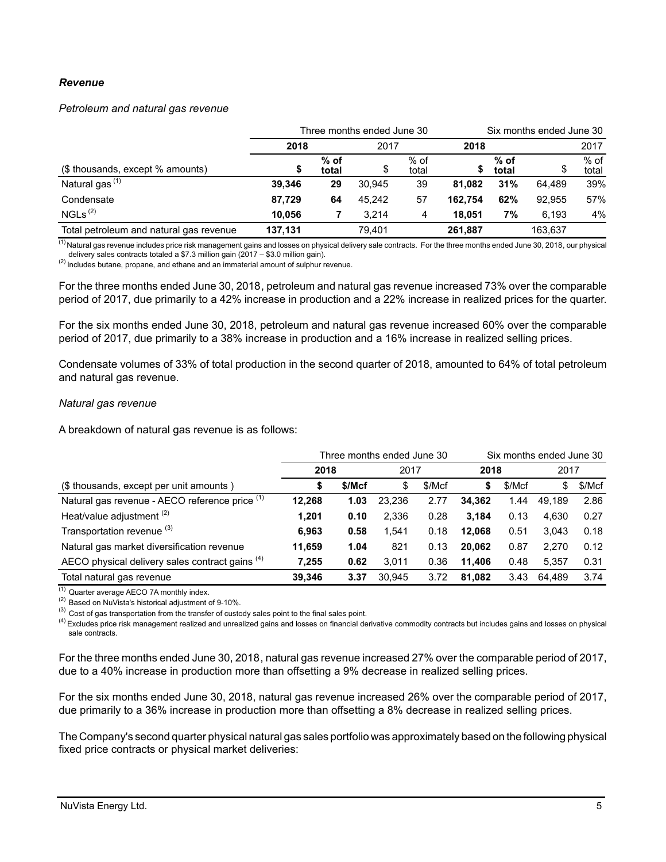### *Revenue*

#### *Petroleum and natural gas revenue*

|                                         | Three months ended June 30 | Six months ended June 30 |        |                 |         |               |         |                 |
|-----------------------------------------|----------------------------|--------------------------|--------|-----------------|---------|---------------|---------|-----------------|
|                                         | 2018                       |                          | 2017   |                 | 2018    |               | 2017    |                 |
| (\$ thousands, except % amounts)        | \$                         | $%$ of<br>total          | \$     | $%$ of<br>total |         | % of<br>total | \$      | $%$ of<br>total |
| Natural gas <sup>(1)</sup>              | 39.346                     | 29                       | 30.945 | 39              | 81.082  | 31%           | 64.489  | 39%             |
| Condensate                              | 87.729                     | 64                       | 45.242 | 57              | 162.754 | 62%           | 92.955  | 57%             |
| NGLs <sup>(2)</sup>                     | 10.056                     |                          | 3.214  | 4               | 18.051  | 7%            | 6.193   | 4%              |
| Total petroleum and natural gas revenue | 137.131                    |                          | 79.401 |                 | 261.887 |               | 163.637 |                 |

<sup>(1)</sup> Natural gas revenue includes price risk management gains and losses on physical delivery sale contracts. For the three months ended June 30, 2018, our physical delivery sales contracts totaled a \$7.3 million gain (2017 – \$3.0 million gain).

(2) Includes butane, propane, and ethane and an immaterial amount of sulphur revenue.

For the three months ended June 30, 2018, petroleum and natural gas revenue increased 73% over the comparable period of 2017, due primarily to a 42% increase in production and a 22% increase in realized prices for the quarter.

For the six months ended June 30, 2018, petroleum and natural gas revenue increased 60% over the comparable period of 2017, due primarily to a 38% increase in production and a 16% increase in realized selling prices.

Condensate volumes of 33% of total production in the second quarter of 2018, amounted to 64% of total petroleum and natural gas revenue.

#### *Natural gas revenue*

A breakdown of natural gas revenue is as follows:

|                                                 |        | Three months ended June 30 | Six months ended June 30 |        |        |        |        |        |
|-------------------------------------------------|--------|----------------------------|--------------------------|--------|--------|--------|--------|--------|
|                                                 | 2018   |                            | 2017                     |        | 2018   |        | 2017   |        |
| (\$ thousands, except per unit amounts)         | D      | \$/Mcf                     | S                        | \$/Mcf | S      | \$/Mcf | \$     | \$/Mcf |
| Natural gas revenue - AECO reference price (1)  | 12,268 | 1.03                       | 23.236                   | 2.77   | 34.362 | 1.44   | 49.189 | 2.86   |
| Heat/value adjustment <sup>(2)</sup>            | 1,201  | 0.10                       | 2.336                    | 0.28   | 3.184  | 0.13   | 4.630  | 0.27   |
| Transportation revenue (3)                      | 6.963  | 0.58                       | 1.541                    | 0.18   | 12,068 | 0.51   | 3.043  | 0.18   |
| Natural gas market diversification revenue      | 11,659 | 1.04                       | 821                      | 0.13   | 20.062 | 0.87   | 2.270  | 0.12   |
| AECO physical delivery sales contract gains (4) | 7,255  | 0.62                       | 3,011                    | 0.36   | 11.406 | 0.48   | 5.357  | 0.31   |
| Total natural gas revenue                       | 39.346 | 3.37                       | 30.945                   | 3.72   | 81.082 | 3.43   | 64.489 | 3.74   |

 $(1)$  Quarter average AECO 7A monthly index.

(2) Based on NuVista's historical adjustment of 9-10%.

<sup>(3)</sup> Cost of gas transportation from the transfer of custody sales point to the final sales point.

<sup>(4)</sup> Excludes price risk management realized and unrealized gains and losses on financial derivative commodity contracts but includes gains and losses on physical sale contracts.

For the three months ended June 30, 2018, natural gas revenue increased 27% over the comparable period of 2017, due to a 40% increase in production more than offsetting a 9% decrease in realized selling prices.

For the six months ended June 30, 2018, natural gas revenue increased 26% over the comparable period of 2017, due primarily to a 36% increase in production more than offsetting a 8% decrease in realized selling prices.

The Company's second quarter physical natural gas sales portfolio was approximately based on the following physical fixed price contracts or physical market deliveries: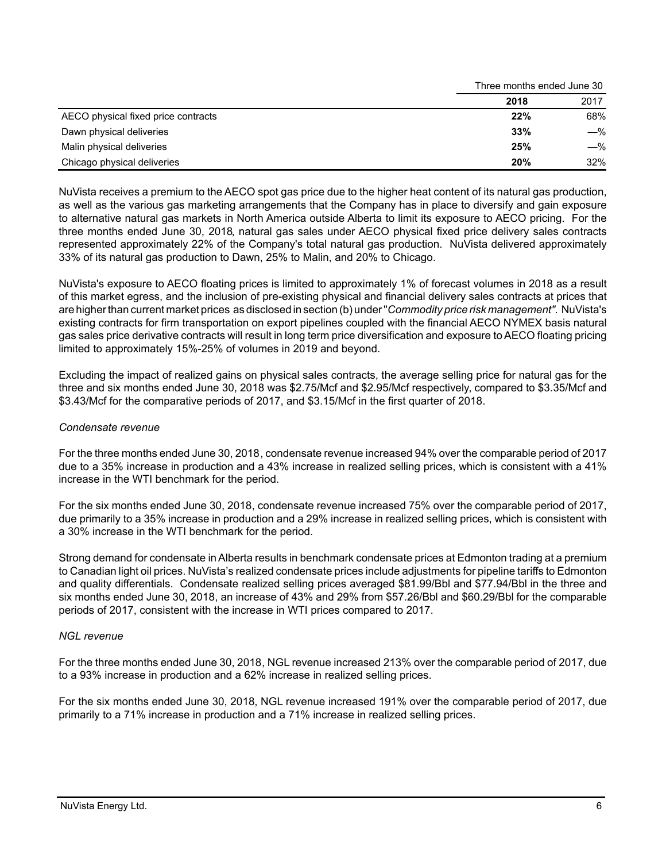|                                     | Three months ended June 30 |       |  |
|-------------------------------------|----------------------------|-------|--|
|                                     | 2018                       | 2017  |  |
| AECO physical fixed price contracts | 22%                        | 68%   |  |
| Dawn physical deliveries            | 33%                        | $-\%$ |  |
| Malin physical deliveries           | 25%                        | $-\%$ |  |
| Chicago physical deliveries         | 20%                        | 32%   |  |

NuVista receives a premium to the AECO spot gas price due to the higher heat content of its natural gas production, as well as the various gas marketing arrangements that the Company has in place to diversify and gain exposure to alternative natural gas markets in North America outside Alberta to limit its exposure to AECO pricing. For the three months ended June 30, 2018, natural gas sales under AECO physical fixed price delivery sales contracts represented approximately 22% of the Company's total natural gas production. NuVista delivered approximately 33% of its natural gas production to Dawn, 25% to Malin, and 20% to Chicago.

NuVista's exposure to AECO floating prices is limited to approximately 1% of forecast volumes in 2018 as a result of this market egress, and the inclusion of pre-existing physical and financial delivery sales contracts at prices that are higher than current market prices as disclosed in section (b) under "*Commodity price risk management".* NuVista's existing contracts for firm transportation on export pipelines coupled with the financial AECO NYMEX basis natural gas sales price derivative contracts will result in long term price diversification and exposure to AECO floating pricing limited to approximately 15%-25% of volumes in 2019 and beyond.

Excluding the impact of realized gains on physical sales contracts, the average selling price for natural gas for the three and six months ended June 30, 2018 was \$2.75/Mcf and \$2.95/Mcf respectively, compared to \$3.35/Mcf and \$3.43/Mcf for the comparative periods of 2017, and \$3.15/Mcf in the first quarter of 2018.

# *Condensate revenue*

For the three months ended June 30, 2018, condensate revenue increased 94% over the comparable period of 2017 due to a 35% increase in production and a 43% increase in realized selling prices, which is consistent with a 41% increase in the WTI benchmark for the period.

For the six months ended June 30, 2018, condensate revenue increased 75% over the comparable period of 2017, due primarily to a 35% increase in production and a 29% increase in realized selling prices, which is consistent with a 30% increase in the WTI benchmark for the period.

Strong demand for condensate in Alberta results in benchmark condensate prices at Edmonton trading at a premium to Canadian light oil prices. NuVista's realized condensate prices include adjustments for pipeline tariffs to Edmonton and quality differentials. Condensate realized selling prices averaged \$81.99/Bbl and \$77.94/Bbl in the three and six months ended June 30, 2018, an increase of 43% and 29% from \$57.26/Bbl and \$60.29/Bbl for the comparable periods of 2017, consistent with the increase in WTI prices compared to 2017.

### *NGL revenue*

For the three months ended June 30, 2018, NGL revenue increased 213% over the comparable period of 2017, due to a 93% increase in production and a 62% increase in realized selling prices.

For the six months ended June 30, 2018, NGL revenue increased 191% over the comparable period of 2017, due primarily to a 71% increase in production and a 71% increase in realized selling prices.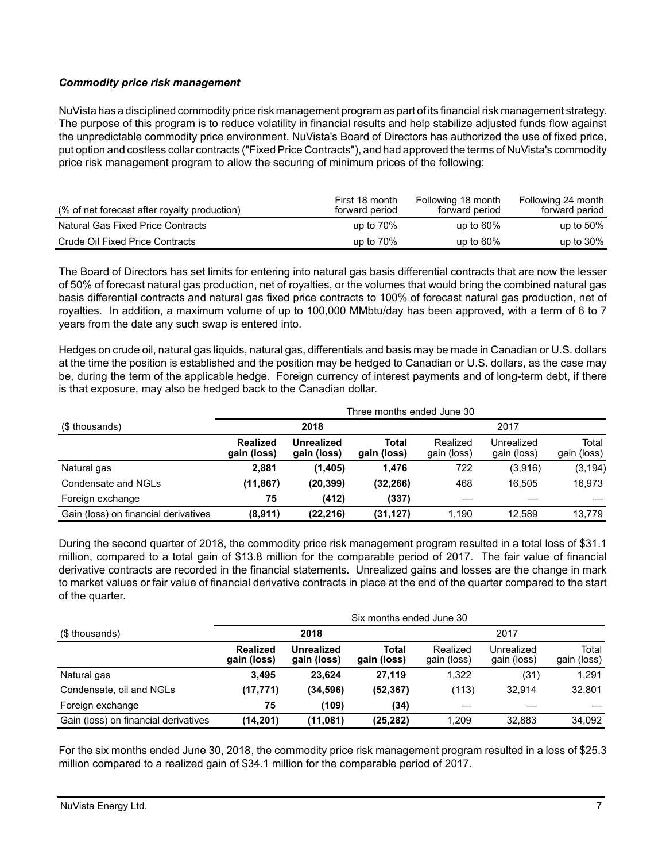# *Commodity price risk management*

NuVista has a disciplined commodity price risk management program as part of its financial risk management strategy. The purpose of this program is to reduce volatility in financial results and help stabilize adjusted funds flow against the unpredictable commodity price environment. NuVista's Board of Directors has authorized the use of fixed price, put option and costless collar contracts ("Fixed Price Contracts"), and had approved the terms of NuVista's commodity price risk management program to allow the securing of minimum prices of the following:

| (% of net forecast after royalty production) | First 18 month<br>forward period | Following 18 month<br>forward period | Following 24 month<br>forward period |
|----------------------------------------------|----------------------------------|--------------------------------------|--------------------------------------|
| Natural Gas Fixed Price Contracts            | up to $70\%$                     | up to $60\%$                         | up to $50\%$                         |
| Crude Oil Fixed Price Contracts              | up to $70\%$                     | up to $60\%$                         | up to $30\%$                         |

The Board of Directors has set limits for entering into natural gas basis differential contracts that are now the lesser of 50% of forecast natural gas production, net of royalties, or the volumes that would bring the combined natural gas basis differential contracts and natural gas fixed price contracts to 100% of forecast natural gas production, net of royalties. In addition, a maximum volume of up to 100,000 MMbtu/day has been approved, with a term of 6 to 7 years from the date any such swap is entered into.

Hedges on crude oil, natural gas liquids, natural gas, differentials and basis may be made in Canadian or U.S. dollars at the time the position is established and the position may be hedged to Canadian or U.S. dollars, as the case may be, during the term of the applicable hedge. Foreign currency of interest payments and of long-term debt, if there is that exposure, may also be hedged back to the Canadian dollar.

|                                      | Three months ended June 30     |                                  |                      |                         |                           |                      |  |  |
|--------------------------------------|--------------------------------|----------------------------------|----------------------|-------------------------|---------------------------|----------------------|--|--|
| (\$ thousands)                       | 2018                           |                                  |                      |                         | 2017                      |                      |  |  |
|                                      | <b>Realized</b><br>gain (loss) | <b>Unrealized</b><br>gain (loss) | Total<br>gain (loss) | Realized<br>gain (loss) | Unrealized<br>gain (loss) | Total<br>gain (loss) |  |  |
| Natural gas                          | 2,881                          | (1, 405)                         | 1.476                | 722                     | (3,916)                   | (3, 194)             |  |  |
| Condensate and NGLs                  | (11, 867)                      | (20, 399)                        | (32, 266)            | 468                     | 16.505                    | 16.973               |  |  |
| Foreign exchange                     | 75                             | (412)                            | (337)                |                         |                           |                      |  |  |
| Gain (loss) on financial derivatives | (8,911)                        | (22, 216)                        | (31, 127)            | 1,190                   | 12.589                    | 13.779               |  |  |

During the second quarter of 2018, the commodity price risk management program resulted in a total loss of \$31.1 million, compared to a total gain of \$13.8 million for the comparable period of 2017. The fair value of financial derivative contracts are recorded in the financial statements. Unrealized gains and losses are the change in mark to market values or fair value of financial derivative contracts in place at the end of the quarter compared to the start of the quarter.

| Six months ended June 30             |                                |                           |                      |                         |                           |                      |  |
|--------------------------------------|--------------------------------|---------------------------|----------------------|-------------------------|---------------------------|----------------------|--|
| (\$ thousands)                       |                                | 2018                      |                      |                         | 2017                      |                      |  |
|                                      | <b>Realized</b><br>gain (loss) | Unrealized<br>gain (loss) | Total<br>gain (loss) | Realized<br>gain (loss) | Unrealized<br>gain (loss) | Total<br>gain (loss) |  |
| Natural gas                          | 3,495                          | 23,624                    | 27.119               | 1,322                   | (31)                      | 1,291                |  |
| Condensate, oil and NGLs             | (17, 771)                      | (34, 596)                 | (52, 367)            | (113)                   | 32.914                    | 32,801               |  |
| Foreign exchange                     | 75                             | (109)                     | (34)                 |                         |                           |                      |  |
| Gain (loss) on financial derivatives | (14, 201)                      | (11,081)                  | (25, 282)            | 1,209                   | 32.883                    | 34,092               |  |

For the six months ended June 30, 2018, the commodity price risk management program resulted in a loss of \$25.3 million compared to a realized gain of \$34.1 million for the comparable period of 2017.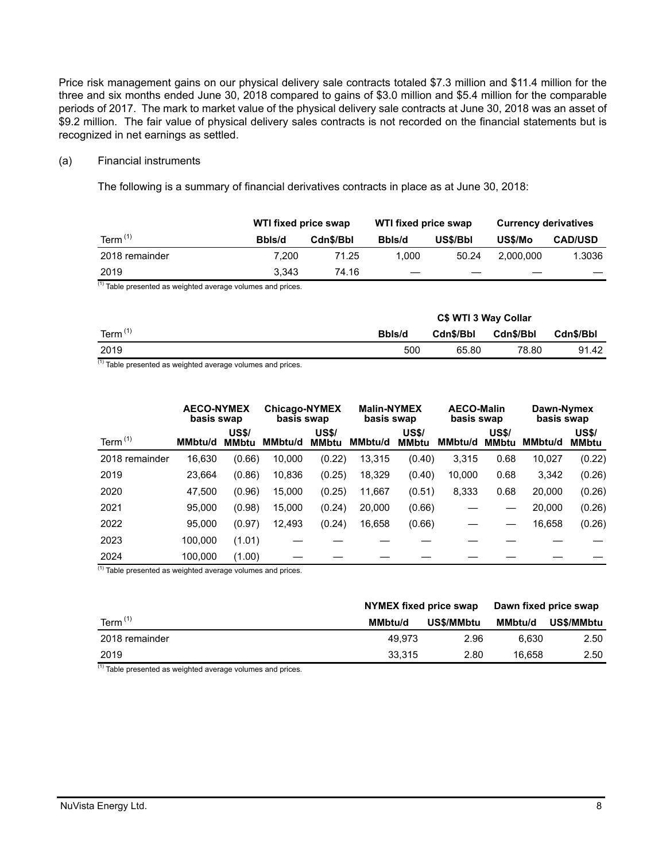Price risk management gains on our physical delivery sale contracts totaled \$7.3 million and \$11.4 million for the three and six months ended June 30, 2018 compared to gains of \$3.0 million and \$5.4 million for the comparable periods of 2017. The mark to market value of the physical delivery sale contracts at June 30, 2018 was an asset of \$9.2 million. The fair value of physical delivery sales contracts is not recorded on the financial statements but is recognized in net earnings as settled.

### (a) Financial instruments

The following is a summary of financial derivatives contracts in place as at June 30, 2018:

|                | WTI fixed price swap |           | WTI fixed price swap |          | <b>Currency derivatives</b> |                |  |
|----------------|----------------------|-----------|----------------------|----------|-----------------------------|----------------|--|
| Term $(1)$     | Bbls/d               | Cdn\$/Bbl |                      | US\$/Bbl | US\$/Mo                     | <b>CAD/USD</b> |  |
| 2018 remainder | 7.200                | 71.25     | 1.000                | 50.24    | 2.000.000                   | 1.3036         |  |
| 2019           | 3.343                | 74.16     |                      |          |                             |                |  |

 $(1)$  Table presented as weighted average volumes and prices.

|            | C\$ WTI 3 Way Collar |           |                  |           |  |  |  |
|------------|----------------------|-----------|------------------|-----------|--|--|--|
| Term $(1)$ | Bbls/d               | Cdn\$/Bbl | <b>Cdn\$/Bbl</b> | Cdn\$/Bbl |  |  |  |
| 2019       | 500                  | 65.80     | 78.80            | 91.42     |  |  |  |

 $(1)$  Table presented as weighted average volumes and prices.

|                | <b>AECO-NYMEX</b><br>basis swap |                              | <b>Chicago-NYMEX</b><br>basis swap |                              | <b>Malin-NYMEX</b><br>basis swap |                              | <b>AECO-Malin</b><br>basis swap |                              | Dawn-Nymex<br>basis swap |                              |
|----------------|---------------------------------|------------------------------|------------------------------------|------------------------------|----------------------------------|------------------------------|---------------------------------|------------------------------|--------------------------|------------------------------|
| Term $(1)$     | <b>MMbtu/d</b>                  | <b>US\$/</b><br><b>MMbtu</b> | <b>MMbtu/d</b>                     | <b>US\$/</b><br><b>MMbtu</b> | <b>MMbtu/d</b>                   | <b>US\$/</b><br><b>MMbtu</b> | <b>MMbtu/d</b>                  | <b>US\$/</b><br><b>MMbtu</b> | <b>MMbtu/d</b>           | <b>US\$/</b><br><b>MMbtu</b> |
| 2018 remainder | 16,630                          | (0.66)                       | 10,000                             | (0.22)                       | 13,315                           | (0.40)                       | 3,315                           | 0.68                         | 10,027                   | (0.22)                       |
| 2019           | 23.664                          | (0.86)                       | 10,836                             | (0.25)                       | 18,329                           | (0.40)                       | 10,000                          | 0.68                         | 3,342                    | (0.26)                       |
| 2020           | 47.500                          | (0.96)                       | 15,000                             | (0.25)                       | 11,667                           | (0.51)                       | 8,333                           | 0.68                         | 20,000                   | (0.26)                       |
| 2021           | 95,000                          | (0.98)                       | 15,000                             | (0.24)                       | 20,000                           | (0.66)                       |                                 |                              | 20,000                   | (0.26)                       |
| 2022           | 95,000                          | (0.97)                       | 12,493                             | (0.24)                       | 16,658                           | (0.66)                       |                                 |                              | 16,658                   | (0.26)                       |
| 2023           | 100,000                         | (1.01)                       |                                    |                              |                                  |                              |                                 |                              |                          |                              |
| 2024           | 100.000                         | (1.00)                       |                                    |                              |                                  |                              |                                 |                              |                          |                              |

 $(1)$  Table presented as weighted average volumes and prices.

|                | NYMEX fixed price swap       |      | Dawn fixed price swap |            |  |
|----------------|------------------------------|------|-----------------------|------------|--|
| Term $(1)$     | US\$/MMbtu<br><b>MMbtu/d</b> |      | <b>MMbtu/d</b>        | US\$/MMbtu |  |
| 2018 remainder | 49.973                       | 2.96 | 6.630                 | 2.50       |  |
| 2019           | 33.315                       | 2.80 | 16.658                | 2.50       |  |

 $(1)$  Table presented as weighted average volumes and prices.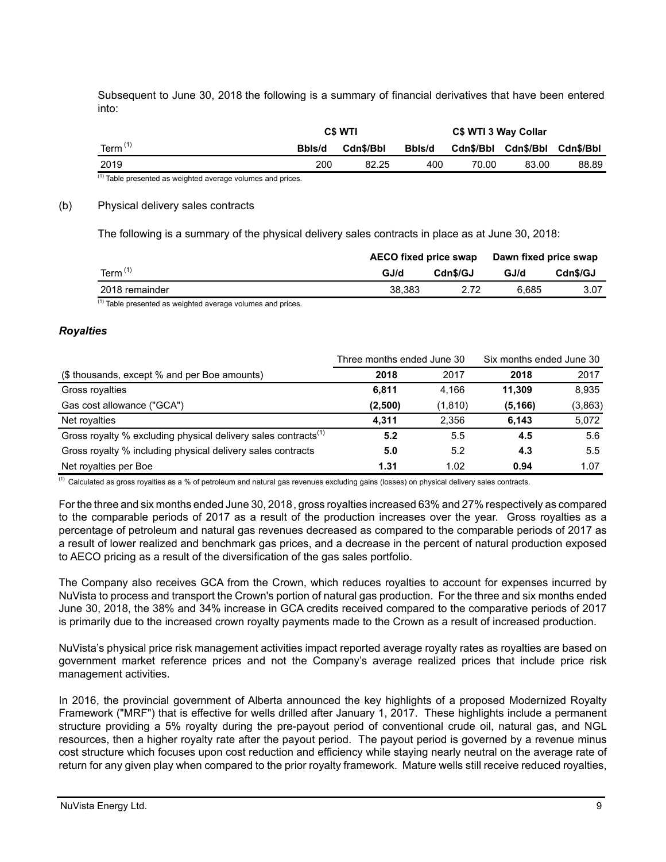Subsequent to June 30, 2018 the following is a summary of financial derivatives that have been entered into:

|                  |        | C\$ WTI   |        |                               | C\$ WTI 3 Way Collar |       |
|------------------|--------|-----------|--------|-------------------------------|----------------------|-------|
| Term $(1)$       | Bbls/d | Cdn\$/Bbl | Bbls/d | Cdn\$/Bbl Cdn\$/Bbl Cdn\$/Bbl |                      |       |
| 2019<br>$\cdots$ | 200    | 82.25     | 400    | 70.00                         | 83.00                | 88.89 |

 $<sup>(1)</sup>$  Table presented as weighted average volumes and prices.</sup>

#### (b) Physical delivery sales contracts

The following is a summary of the physical delivery sales contracts in place as at June 30, 2018:

|                |        | <b>AECO fixed price swap</b> |       | Dawn fixed price swap |
|----------------|--------|------------------------------|-------|-----------------------|
| Term $(1)$     | GJ/d   | Cdn\$/GJ                     | GJ/d  | Cdn\$/GJ              |
| 2018 remainder | 38.383 |                              | 6.685 | 3.07                  |

 $<sup>(1)</sup>$  Table presented as weighted average volumes and prices.</sup>

#### *Royalties*

|                                                                            | Three months ended June 30 |          | Six months ended June 30 |         |
|----------------------------------------------------------------------------|----------------------------|----------|--------------------------|---------|
| (\$ thousands, except % and per Boe amounts)                               | 2018                       | 2017     | 2018                     | 2017    |
| Gross royalties                                                            | 6.811                      | 4.166    | 11.309                   | 8.935   |
| Gas cost allowance ("GCA")                                                 | (2,500)                    | (1, 810) | (5, 166)                 | (3,863) |
| Net royalties                                                              | 4.311                      | 2,356    | 6,143                    | 5,072   |
| Gross royalty % excluding physical delivery sales contracts <sup>(1)</sup> | 5.2                        | 5.5      | 4.5                      | 5.6     |
| Gross royalty % including physical delivery sales contracts                | 5.0                        | 5.2      | 4.3                      | 5.5     |
| Net royalties per Boe                                                      | 1.31                       | 1.02     | 0.94                     | 1.07    |

 $(1)$  Calculated as gross royalties as a % of petroleum and natural gas revenues excluding gains (losses) on physical delivery sales contracts.

For the three and six months ended June 30, 2018, gross royalties increased 63% and 27% respectively as compared to the comparable periods of 2017 as a result of the production increases over the year. Gross royalties as a percentage of petroleum and natural gas revenues decreased as compared to the comparable periods of 2017 as a result of lower realized and benchmark gas prices, and a decrease in the percent of natural production exposed to AECO pricing as a result of the diversification of the gas sales portfolio.

The Company also receives GCA from the Crown, which reduces royalties to account for expenses incurred by NuVista to process and transport the Crown's portion of natural gas production. For the three and six months ended June 30, 2018, the 38% and 34% increase in GCA credits received compared to the comparative periods of 2017 is primarily due to the increased crown royalty payments made to the Crown as a result of increased production.

NuVista's physical price risk management activities impact reported average royalty rates as royalties are based on government market reference prices and not the Company's average realized prices that include price risk management activities.

In 2016, the provincial government of Alberta announced the key highlights of a proposed Modernized Royalty Framework ("MRF") that is effective for wells drilled after January 1, 2017. These highlights include a permanent structure providing a 5% royalty during the pre-payout period of conventional crude oil, natural gas, and NGL resources, then a higher royalty rate after the payout period. The payout period is governed by a revenue minus cost structure which focuses upon cost reduction and efficiency while staying nearly neutral on the average rate of return for any given play when compared to the prior royalty framework. Mature wells still receive reduced royalties,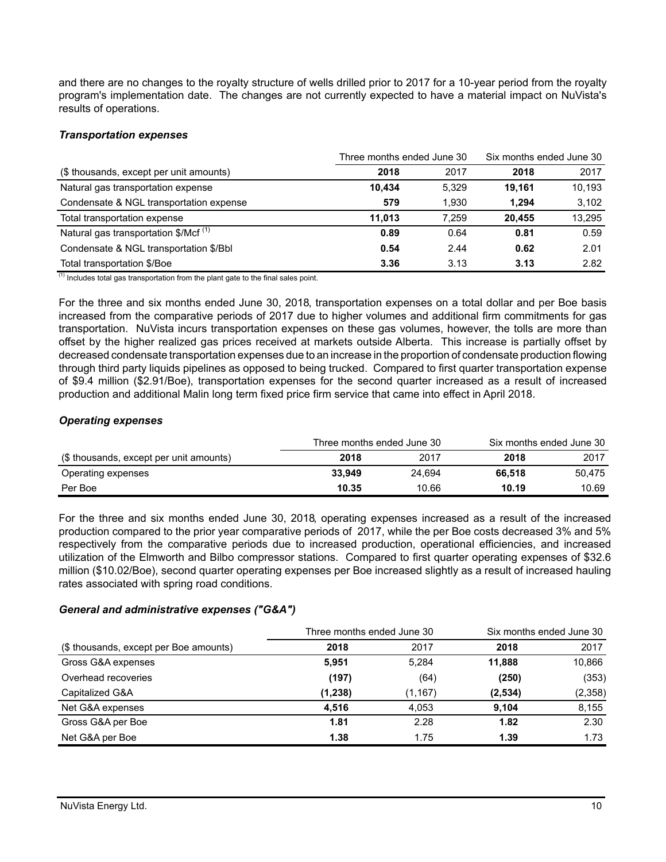and there are no changes to the royalty structure of wells drilled prior to 2017 for a 10-year period from the royalty program's implementation date. The changes are not currently expected to have a material impact on NuVista's results of operations.

### *Transportation expenses*

|                                                  | Three months ended June 30 | Six months ended June 30 |        |        |
|--------------------------------------------------|----------------------------|--------------------------|--------|--------|
| (\$ thousands, except per unit amounts)          | 2018                       | 2017                     | 2018   | 2017   |
| Natural gas transportation expense               | 10.434                     | 5.329                    | 19.161 | 10.193 |
| Condensate & NGL transportation expense          | 579                        | 1.930                    | 1.294  | 3,102  |
| Total transportation expense                     | 11.013                     | 7.259                    | 20.455 | 13.295 |
| Natural gas transportation \$/Mcf <sup>(1)</sup> | 0.89                       | 0.64                     | 0.81   | 0.59   |
| Condensate & NGL transportation \$/Bbl           | 0.54                       | 2.44                     | 0.62   | 2.01   |
| Total transportation \$/Boe                      | 3.36                       | 3.13                     | 3.13   | 2.82   |

 $(1)$  Includes total gas transportation from the plant gate to the final sales point.

For the three and six months ended June 30, 2018, transportation expenses on a total dollar and per Boe basis increased from the comparative periods of 2017 due to higher volumes and additional firm commitments for gas transportation. NuVista incurs transportation expenses on these gas volumes, however, the tolls are more than offset by the higher realized gas prices received at markets outside Alberta. This increase is partially offset by decreased condensate transportation expenses due to an increase in the proportion of condensate production flowing through third party liquids pipelines as opposed to being trucked. Compared to first quarter transportation expense of \$9.4 million (\$2.91/Boe), transportation expenses for the second quarter increased as a result of increased production and additional Malin long term fixed price firm service that came into effect in April 2018.

### *Operating expenses*

|                                         |        | Three months ended June 30 | Six months ended June 30 |        |  |
|-----------------------------------------|--------|----------------------------|--------------------------|--------|--|
| (\$ thousands, except per unit amounts) | 2018   | 2017                       | 2018                     | 2017   |  |
| Operating expenses                      | 33.949 | 24.694                     | 66.518                   | 50.475 |  |
| Per Boe                                 | 10.35  | 10.66                      | 10.19                    | 10.69  |  |

For the three and six months ended June 30, 2018, operating expenses increased as a result of the increased production compared to the prior year comparative periods of 2017, while the per Boe costs decreased 3% and 5% respectively from the comparative periods due to increased production, operational efficiencies, and increased utilization of the Elmworth and Bilbo compressor stations. Compared to first quarter operating expenses of \$32.6 million (\$10.02/Boe), second quarter operating expenses per Boe increased slightly as a result of increased hauling rates associated with spring road conditions.

### *General and administrative expenses ("G&A")*

|                                        | Three months ended June 30 | Six months ended June 30 |         |         |
|----------------------------------------|----------------------------|--------------------------|---------|---------|
| (\$ thousands, except per Boe amounts) | 2018                       | 2017                     | 2018    | 2017    |
| Gross G&A expenses                     | 5.951                      | 5.284                    | 11.888  | 10,866  |
| Overhead recoveries                    | (197)                      | (64)                     | (250)   | (353)   |
| Capitalized G&A                        | (1,238)                    | (1, 167)                 | (2,534) | (2,358) |
| Net G&A expenses                       | 4,516                      | 4,053                    | 9,104   | 8,155   |
| Gross G&A per Boe                      | 1.81                       | 2.28                     | 1.82    | 2.30    |
| Net G&A per Boe                        | 1.38                       | 1.75                     | 1.39    | 1.73    |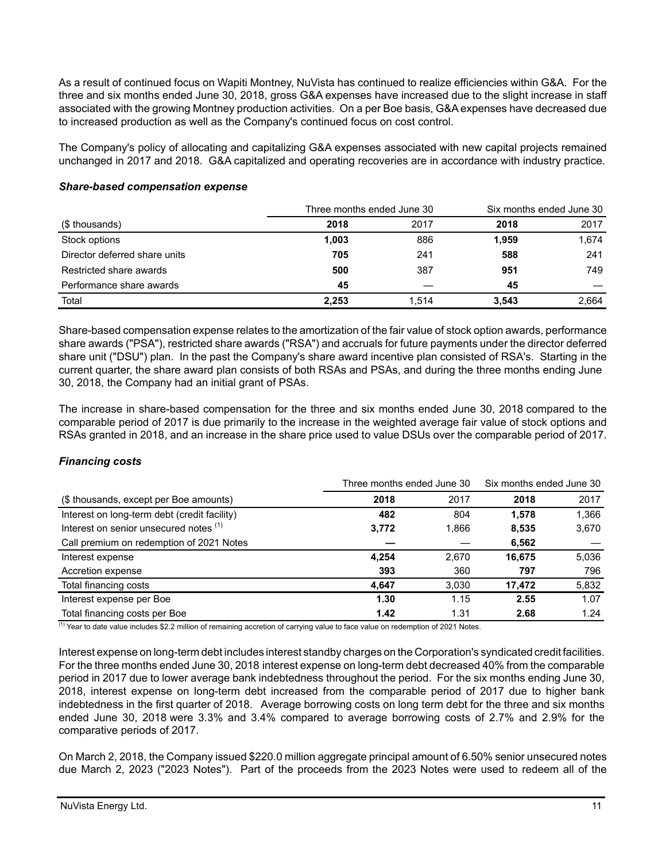As a result of continued focus on Wapiti Montney, NuVista has continued to realize efficiencies within G&A. For the three and six months ended June 30, 2018, gross G&A expenses have increased due to the slight increase in staff associated with the growing Montney production activities. On a per Boe basis, G&A expenses have decreased due to increased production as well as the Company's continued focus on cost control.

The Company's policy of allocating and capitalizing G&A expenses associated with new capital projects remained unchanged in 2017 and 2018. G&A capitalized and operating recoveries are in accordance with industry practice.

|                               |       | Three months ended June 30 |       | Six months ended June 30 |  |
|-------------------------------|-------|----------------------------|-------|--------------------------|--|
| (\$ thousands)                | 2018  | 2017                       | 2018  | 2017                     |  |
| Stock options                 | 1,003 | 886                        | 1,959 | 1,674                    |  |
| Director deferred share units | 705   | 241                        | 588   | 241                      |  |
| Restricted share awards       | 500   | 387                        | 951   | 749                      |  |
| Performance share awards      | 45    |                            | 45    |                          |  |
| Total                         | 2.253 | 1.514                      | 3,543 | 2.664                    |  |

### *Share-based compensation expense*

Share-based compensation expense relates to the amortization of the fair value of stock option awards, performance share awards ("PSA"), restricted share awards ("RSA") and accruals for future payments under the director deferred share unit ("DSU") plan. In the past the Company's share award incentive plan consisted of RSA's. Starting in the current quarter, the share award plan consists of both RSAs and PSAs, and during the three months ending June 30, 2018, the Company had an initial grant of PSAs.

The increase in share-based compensation for the three and six months ended June 30, 2018 compared to the comparable period of 2017 is due primarily to the increase in the weighted average fair value of stock options and RSAs granted in 2018, and an increase in the share price used to value DSUs over the comparable period of 2017.

### *Financing costs*

|                                              | Three months ended June 30 | Six months ended June 30 |        |       |
|----------------------------------------------|----------------------------|--------------------------|--------|-------|
| (\$ thousands, except per Boe amounts)       | 2018                       | 2017                     | 2018   | 2017  |
| Interest on long-term debt (credit facility) | 482                        | 804                      | 1.578  | 1,366 |
| Interest on senior unsecured notes (1)       | 3,772                      | 1,866                    | 8,535  | 3,670 |
| Call premium on redemption of 2021 Notes     |                            |                          | 6,562  |       |
| Interest expense                             | 4.254                      | 2.670                    | 16.675 | 5,036 |
| Accretion expense                            | 393                        | 360                      | 797    | 796   |
| Total financing costs                        | 4.647                      | 3.030                    | 17.472 | 5,832 |
| Interest expense per Boe                     | 1.30                       | 1.15                     | 2.55   | 1.07  |
| Total financing costs per Boe                | 1.42                       | 1.31                     | 2.68   | 1.24  |

<sup>(1)</sup> Year to date value includes \$2.2 million of remaining accretion of carrying value to face value on redemption of 2021 Notes.

Interest expense on long-term debt includes interest standby charges on the Corporation's syndicated credit facilities. For the three months ended June 30, 2018 interest expense on long-term debt decreased 40% from the comparable period in 2017 due to lower average bank indebtedness throughout the period. For the six months ending June 30, 2018, interest expense on long-term debt increased from the comparable period of 2017 due to higher bank indebtedness in the first quarter of 2018. Average borrowing costs on long term debt for the three and six months ended June 30, 2018 were 3.3% and 3.4% compared to average borrowing costs of 2.7% and 2.9% for the comparative periods of 2017.

On March 2, 2018, the Company issued \$220.0 million aggregate principal amount of 6.50% senior unsecured notes due March 2, 2023 ("2023 Notes"). Part of the proceeds from the 2023 Notes were used to redeem all of the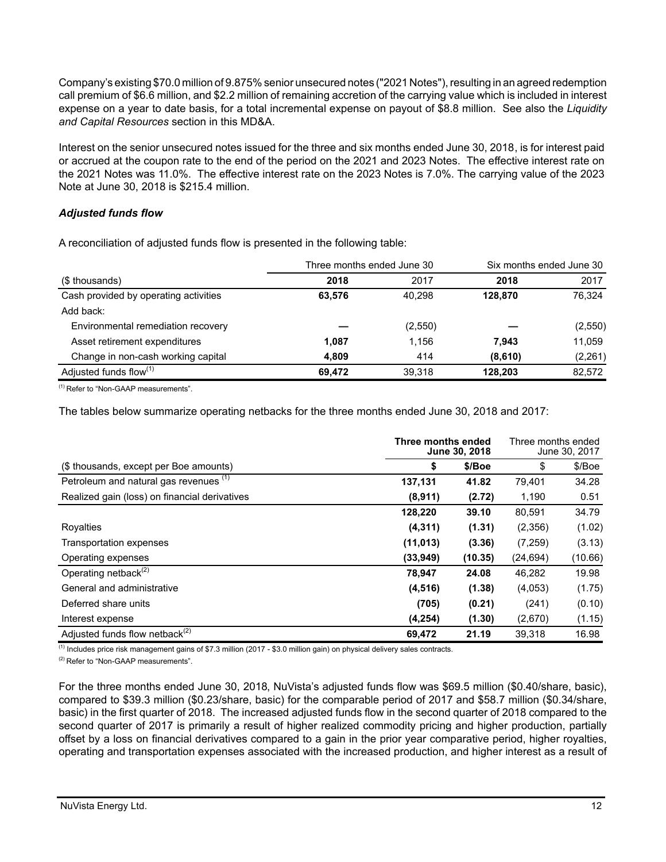Company's existing \$70.0 million of 9.875% senior unsecured notes ("2021 Notes"), resulting in an agreed redemption call premium of \$6.6 million, and \$2.2 million of remaining accretion of the carrying value which is included in interest expense on a year to date basis, for a total incremental expense on payout of \$8.8 million. See also the *Liquidity and Capital Resources* section in this MD&A.

Interest on the senior unsecured notes issued for the three and six months ended June 30, 2018, is for interest paid or accrued at the coupon rate to the end of the period on the 2021 and 2023 Notes. The effective interest rate on the 2021 Notes was 11.0%. The effective interest rate on the 2023 Notes is 7.0%. The carrying value of the 2023 Note at June 30, 2018 is \$215.4 million.

### *Adjusted funds flow*

A reconciliation of adjusted funds flow is presented in the following table:

|                                       | Three months ended June 30 |         | Six months ended June 30 |          |
|---------------------------------------|----------------------------|---------|--------------------------|----------|
| (\$ thousands)                        | 2018                       | 2017    | 2018                     | 2017     |
| Cash provided by operating activities | 63.576                     | 40.298  | 128.870                  | 76,324   |
| Add back:                             |                            |         |                          |          |
| Environmental remediation recovery    |                            | (2,550) |                          | (2,550)  |
| Asset retirement expenditures         | 1,087                      | 1.156   | 7.943                    | 11,059   |
| Change in non-cash working capital    | 4.809                      | 414     | (8,610)                  | (2, 261) |
| Adjusted funds flow <sup>(1)</sup>    | 69.472                     | 39.318  | 128.203                  | 82,572   |

(1) Refer to "Non-GAAP measurements".

The tables below summarize operating netbacks for the three months ended June 30, 2018 and 2017:

|                                               | Three months ended<br>June 30, 2018 | Three months ended<br>June 30, 2017 |           |         |
|-----------------------------------------------|-------------------------------------|-------------------------------------|-----------|---------|
| (\$ thousands, except per Boe amounts)        | S                                   | \$/Boe                              | \$        | \$/Boe  |
| Petroleum and natural gas revenues (1)        | 137,131                             | 41.82                               | 79,401    | 34.28   |
| Realized gain (loss) on financial derivatives | (8,911)                             | (2.72)                              | 1,190     | 0.51    |
|                                               | 128,220                             | 39.10                               | 80,591    | 34.79   |
| Royalties                                     | (4, 311)                            | (1.31)                              | (2,356)   | (1.02)  |
| Transportation expenses                       | (11, 013)                           | (3.36)                              | (7,259)   | (3.13)  |
| Operating expenses                            | (33,949)                            | (10.35)                             | (24, 694) | (10.66) |
| Operating netback <sup>(2)</sup>              | 78,947                              | 24.08                               | 46,282    | 19.98   |
| General and administrative                    | (4, 516)                            | (1.38)                              | (4,053)   | (1.75)  |
| Deferred share units                          | (705)                               | (0.21)                              | (241)     | (0.10)  |
| Interest expense                              | (4,254)                             | (1.30)                              | (2,670)   | (1.15)  |
| Adjusted funds flow netback <sup>(2)</sup>    | 69,472                              | 21.19                               | 39,318    | 16.98   |

 $\overline{^{(1)}}$  Includes price risk management gains of \$7.3 million (2017 - \$3.0 million gain) on physical delivery sales contracts.

(2) Refer to "Non-GAAP measurements".

For the three months ended June 30, 2018, NuVista's adjusted funds flow was \$69.5 million (\$0.40/share, basic), compared to \$39.3 million (\$0.23/share, basic) for the comparable period of 2017 and \$58.7 million (\$0.34/share, basic) in the first quarter of 2018. The increased adjusted funds flow in the second quarter of 2018 compared to the second quarter of 2017 is primarily a result of higher realized commodity pricing and higher production, partially offset by a loss on financial derivatives compared to a gain in the prior year comparative period, higher royalties, operating and transportation expenses associated with the increased production, and higher interest as a result of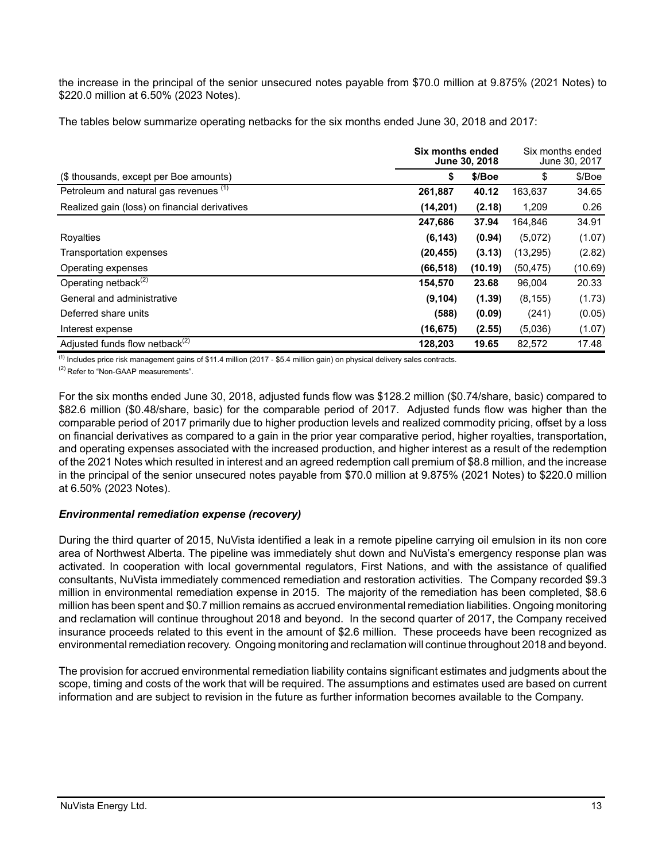the increase in the principal of the senior unsecured notes payable from \$70.0 million at 9.875% (2021 Notes) to \$220.0 million at 6.50% (2023 Notes).

The tables below summarize operating netbacks for the six months ended June 30, 2018 and 2017:

|                                                   |           | Six months ended<br>June 30, 2018 |           |         |
|---------------------------------------------------|-----------|-----------------------------------|-----------|---------|
| (\$ thousands, except per Boe amounts)            | \$        | \$/Boe                            | \$        | \$/Boe  |
| Petroleum and natural gas revenues <sup>(1)</sup> | 261,887   | 40.12                             | 163,637   | 34.65   |
| Realized gain (loss) on financial derivatives     | (14, 201) | (2.18)                            | 1,209     | 0.26    |
|                                                   | 247,686   | 37.94                             | 164.846   | 34.91   |
| Royalties                                         | (6, 143)  | (0.94)                            | (5,072)   | (1.07)  |
| Transportation expenses                           | (20, 455) | (3.13)                            | (13, 295) | (2.82)  |
| Operating expenses                                | (66, 518) | (10.19)                           | (50, 475) | (10.69) |
| Operating netback $(2)$                           | 154,570   | 23.68                             | 96,004    | 20.33   |
| General and administrative                        | (9, 104)  | (1.39)                            | (8, 155)  | (1.73)  |
| Deferred share units                              | (588)     | (0.09)                            | (241)     | (0.05)  |
| Interest expense                                  | (16, 675) | (2.55)                            | (5,036)   | (1.07)  |
| Adjusted funds flow netback <sup>(2)</sup>        | 128.203   | 19.65                             | 82,572    | 17.48   |

(1) Includes price risk management gains of \$11.4 million (2017 - \$5.4 million gain) on physical delivery sales contracts.

<sup>(2)</sup> Refer to "Non-GAAP measurements".

For the six months ended June 30, 2018, adjusted funds flow was \$128.2 million (\$0.74/share, basic) compared to \$82.6 million (\$0.48/share, basic) for the comparable period of 2017. Adjusted funds flow was higher than the comparable period of 2017 primarily due to higher production levels and realized commodity pricing, offset by a loss on financial derivatives as compared to a gain in the prior year comparative period, higher royalties, transportation, and operating expenses associated with the increased production, and higher interest as a result of the redemption of the 2021 Notes which resulted in interest and an agreed redemption call premium of \$8.8 million, and the increase in the principal of the senior unsecured notes payable from \$70.0 million at 9.875% (2021 Notes) to \$220.0 million at 6.50% (2023 Notes).

### *Environmental remediation expense (recovery)*

During the third quarter of 2015, NuVista identified a leak in a remote pipeline carrying oil emulsion in its non core area of Northwest Alberta. The pipeline was immediately shut down and NuVista's emergency response plan was activated. In cooperation with local governmental regulators, First Nations, and with the assistance of qualified consultants, NuVista immediately commenced remediation and restoration activities. The Company recorded \$9.3 million in environmental remediation expense in 2015. The majority of the remediation has been completed, \$8.6 million has been spent and \$0.7 million remains as accrued environmental remediation liabilities. Ongoing monitoring and reclamation will continue throughout 2018 and beyond. In the second quarter of 2017, the Company received insurance proceeds related to this event in the amount of \$2.6 million. These proceeds have been recognized as environmental remediation recovery. Ongoing monitoring and reclamation will continue throughout 2018 and beyond.

The provision for accrued environmental remediation liability contains significant estimates and judgments about the scope, timing and costs of the work that will be required. The assumptions and estimates used are based on current information and are subject to revision in the future as further information becomes available to the Company.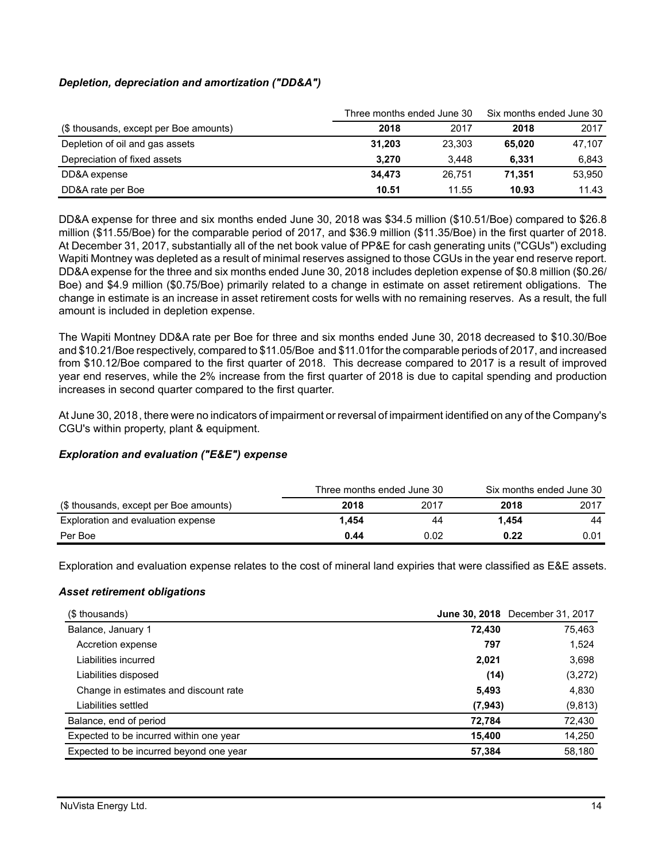# *Depletion, depreciation and amortization ("DD&A")*

|                                        | Three months ended June 30 | Six months ended June 30 |        |        |
|----------------------------------------|----------------------------|--------------------------|--------|--------|
| (\$ thousands, except per Boe amounts) | 2018                       | 2017                     | 2018   | 2017   |
| Depletion of oil and gas assets        | 31.203                     | 23.303                   | 65.020 | 47,107 |
| Depreciation of fixed assets           | 3.270                      | 3.448                    | 6.331  | 6.843  |
| DD&A expense                           | 34.473                     | 26.751                   | 71.351 | 53,950 |
| DD&A rate per Boe                      | 10.51                      | 11.55                    | 10.93  | 11.43  |

DD&A expense for three and six months ended June 30, 2018 was \$34.5 million (\$10.51/Boe) compared to \$26.8 million (\$11.55/Boe) for the comparable period of 2017, and \$36.9 million (\$11.35/Boe) in the first quarter of 2018. At December 31, 2017, substantially all of the net book value of PP&E for cash generating units ("CGUs") excluding Wapiti Montney was depleted as a result of minimal reserves assigned to those CGUs in the year end reserve report. DD&A expense for the three and six months ended June 30, 2018 includes depletion expense of \$0.8 million (\$0.26/ Boe) and \$4.9 million (\$0.75/Boe) primarily related to a change in estimate on asset retirement obligations. The change in estimate is an increase in asset retirement costs for wells with no remaining reserves. As a result, the full amount is included in depletion expense.

The Wapiti Montney DD&A rate per Boe for three and six months ended June 30, 2018 decreased to \$10.30/Boe and \$10.21/Boe respectively, compared to \$11.05/Boe and \$11.01for the comparable periods of 2017, and increased from \$10.12/Boe compared to the first quarter of 2018. This decrease compared to 2017 is a result of improved year end reserves, while the 2% increase from the first quarter of 2018 is due to capital spending and production increases in second quarter compared to the first quarter.

At June 30, 2018, there were no indicators of impairment or reversal of impairment identified on any of the Company's CGU's within property, plant & equipment.

### *Exploration and evaluation ("E&E") expense*

|                                        | Three months ended June 30 |      | Six months ended June 30 |      |  |
|----------------------------------------|----------------------------|------|--------------------------|------|--|
| (\$ thousands, except per Boe amounts) | 2018                       | 2017 | 2018                     | 2017 |  |
| Exploration and evaluation expense     | 1.454                      | 44   | 1.454                    | 44   |  |
| Per Boe                                | 0.44                       | 0.02 | 0.22                     | 0.01 |  |

Exploration and evaluation expense relates to the cost of mineral land expiries that were classified as E&E assets.

### *Asset retirement obligations*

| (\$ thousands)                          |          | June 30, 2018 December 31, 2017 |
|-----------------------------------------|----------|---------------------------------|
| Balance, January 1                      | 72,430   | 75,463                          |
| Accretion expense                       | 797      | 1,524                           |
| Liabilities incurred                    | 2,021    | 3,698                           |
| Liabilities disposed                    | (14)     | (3,272)                         |
| Change in estimates and discount rate   | 5,493    | 4,830                           |
| Liabilities settled                     | (7, 943) | (9, 813)                        |
| Balance, end of period                  | 72.784   | 72,430                          |
| Expected to be incurred within one year | 15,400   | 14,250                          |
| Expected to be incurred beyond one year | 57,384   | 58,180                          |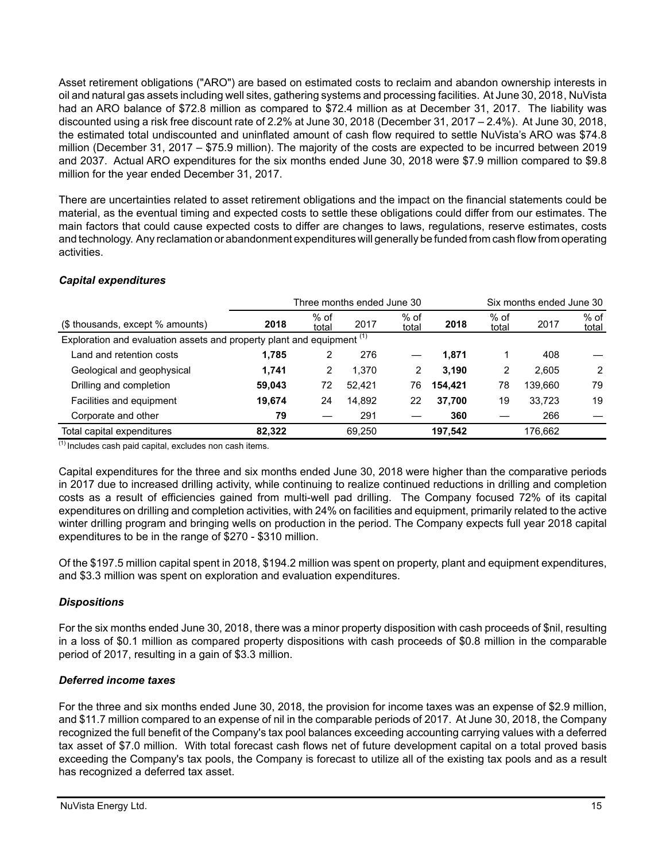Asset retirement obligations ("ARO") are based on estimated costs to reclaim and abandon ownership interests in oil and natural gas assets including well sites, gathering systems and processing facilities. At June 30, 2018, NuVista had an ARO balance of \$72.8 million as compared to \$72.4 million as at December 31, 2017. The liability was discounted using a risk free discount rate of 2.2% at June 30, 2018 (December 31, 2017 – 2.4%). At June 30, 2018, the estimated total undiscounted and uninflated amount of cash flow required to settle NuVista's ARO was \$74.8 million (December 31, 2017 – \$75.9 million). The majority of the costs are expected to be incurred between 2019 and 2037. Actual ARO expenditures for the six months ended June 30, 2018 were \$7.9 million compared to \$9.8 million for the year ended December 31, 2017.

There are uncertainties related to asset retirement obligations and the impact on the financial statements could be material, as the eventual timing and expected costs to settle these obligations could differ from our estimates. The main factors that could cause expected costs to differ are changes to laws, regulations, reserve estimates, costs and technology. Any reclamation or abandonment expenditures will generally be funded from cash flow from operating activities.

# *Capital expenditures*

|                                                                                   | Three months ended June 30 |                 |        |                 |         |                 | Six months ended June 30 |                 |
|-----------------------------------------------------------------------------------|----------------------------|-----------------|--------|-----------------|---------|-----------------|--------------------------|-----------------|
| (\$ thousands, except % amounts)                                                  | 2018                       | $%$ of<br>total | 2017   | $%$ of<br>total | 2018    | $%$ of<br>total | 2017                     | $%$ of<br>total |
| Exploration and evaluation assets and property plant and equipment <sup>(1)</sup> |                            |                 |        |                 |         |                 |                          |                 |
| Land and retention costs                                                          | 1.785                      | 2               | 276    |                 | 1.871   |                 | 408                      |                 |
| Geological and geophysical                                                        | 1,741                      | 2               | 1.370  | 2               | 3.190   | 2               | 2.605                    | 2               |
| Drilling and completion                                                           | 59.043                     | 72              | 52.421 | 76              | 154.421 | 78              | 139.660                  | 79              |
| Facilities and equipment                                                          | 19.674                     | 24              | 14.892 | 22              | 37.700  | 19              | 33.723                   | 19              |
| Corporate and other                                                               | 79                         |                 | 291    |                 | 360     |                 | 266                      |                 |
| Total capital expenditures                                                        | 82.322                     |                 | 69.250 |                 | 197.542 |                 | 176.662                  |                 |

 $<sup>(1)</sup>$  Includes cash paid capital, excludes non cash items.</sup>

Capital expenditures for the three and six months ended June 30, 2018 were higher than the comparative periods in 2017 due to increased drilling activity, while continuing to realize continued reductions in drilling and completion costs as a result of efficiencies gained from multi-well pad drilling. The Company focused 72% of its capital expenditures on drilling and completion activities, with 24% on facilities and equipment, primarily related to the active winter drilling program and bringing wells on production in the period. The Company expects full year 2018 capital expenditures to be in the range of \$270 - \$310 million.

Of the \$197.5 million capital spent in 2018, \$194.2 million was spent on property, plant and equipment expenditures, and \$3.3 million was spent on exploration and evaluation expenditures.

# *Dispositions*

For the six months ended June 30, 2018, there was a minor property disposition with cash proceeds of \$nil, resulting in a loss of \$0.1 million as compared property dispositions with cash proceeds of \$0.8 million in the comparable period of 2017, resulting in a gain of \$3.3 million.

# *Deferred income taxes*

For the three and six months ended June 30, 2018, the provision for income taxes was an expense of \$2.9 million, and \$11.7 million compared to an expense of nil in the comparable periods of 2017. At June 30, 2018, the Company recognized the full benefit of the Company's tax pool balances exceeding accounting carrying values with a deferred tax asset of \$7.0 million. With total forecast cash flows net of future development capital on a total proved basis exceeding the Company's tax pools, the Company is forecast to utilize all of the existing tax pools and as a result has recognized a deferred tax asset.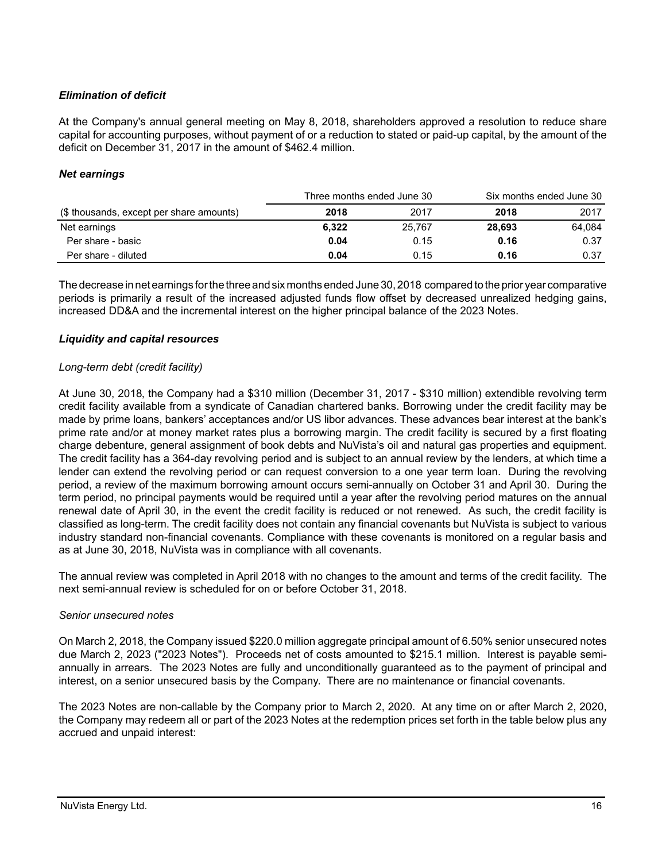# *Elimination of deficit*

At the Company's annual general meeting on May 8, 2018, shareholders approved a resolution to reduce share capital for accounting purposes, without payment of or a reduction to stated or paid-up capital, by the amount of the deficit on December 31, 2017 in the amount of \$462.4 million.

## *Net earnings*

|                                          | Three months ended June 30 |        |        | Six months ended June 30 |
|------------------------------------------|----------------------------|--------|--------|--------------------------|
| (\$ thousands, except per share amounts) | 2018                       | 2017   | 2018   | 2017                     |
| Net earnings                             | 6.322                      | 25.767 | 28.693 | 64.084                   |
| Per share - basic                        | 0.04                       | 0.15   | 0.16   | 0.37                     |
| Per share - diluted                      | 0.04                       | 0.15   | 0.16   | 0.37                     |

The decrease in net earnings for the three and six months ended June 30, 2018 compared to the prior year comparative periods is primarily a result of the increased adjusted funds flow offset by decreased unrealized hedging gains, increased DD&A and the incremental interest on the higher principal balance of the 2023 Notes.

### *Liquidity and capital resources*

### *Long-term debt (credit facility)*

At June 30, 2018, the Company had a \$310 million (December 31, 2017 - \$310 million) extendible revolving term credit facility available from a syndicate of Canadian chartered banks. Borrowing under the credit facility may be made by prime loans, bankers' acceptances and/or US libor advances. These advances bear interest at the bank's prime rate and/or at money market rates plus a borrowing margin. The credit facility is secured by a first floating charge debenture, general assignment of book debts and NuVista's oil and natural gas properties and equipment. The credit facility has a 364-day revolving period and is subject to an annual review by the lenders, at which time a lender can extend the revolving period or can request conversion to a one year term loan. During the revolving period, a review of the maximum borrowing amount occurs semi-annually on October 31 and April 30. During the term period, no principal payments would be required until a year after the revolving period matures on the annual renewal date of April 30, in the event the credit facility is reduced or not renewed. As such, the credit facility is classified as long-term. The credit facility does not contain any financial covenants but NuVista is subject to various industry standard non-financial covenants. Compliance with these covenants is monitored on a regular basis and as at June 30, 2018, NuVista was in compliance with all covenants.

The annual review was completed in April 2018 with no changes to the amount and terms of the credit facility. The next semi-annual review is scheduled for on or before October 31, 2018.

### *Senior unsecured notes*

On March 2, 2018, the Company issued \$220.0 million aggregate principal amount of 6.50% senior unsecured notes due March 2, 2023 ("2023 Notes"). Proceeds net of costs amounted to \$215.1 million. Interest is payable semiannually in arrears. The 2023 Notes are fully and unconditionally guaranteed as to the payment of principal and interest, on a senior unsecured basis by the Company. There are no maintenance or financial covenants.

The 2023 Notes are non-callable by the Company prior to March 2, 2020. At any time on or after March 2, 2020, the Company may redeem all or part of the 2023 Notes at the redemption prices set forth in the table below plus any accrued and unpaid interest: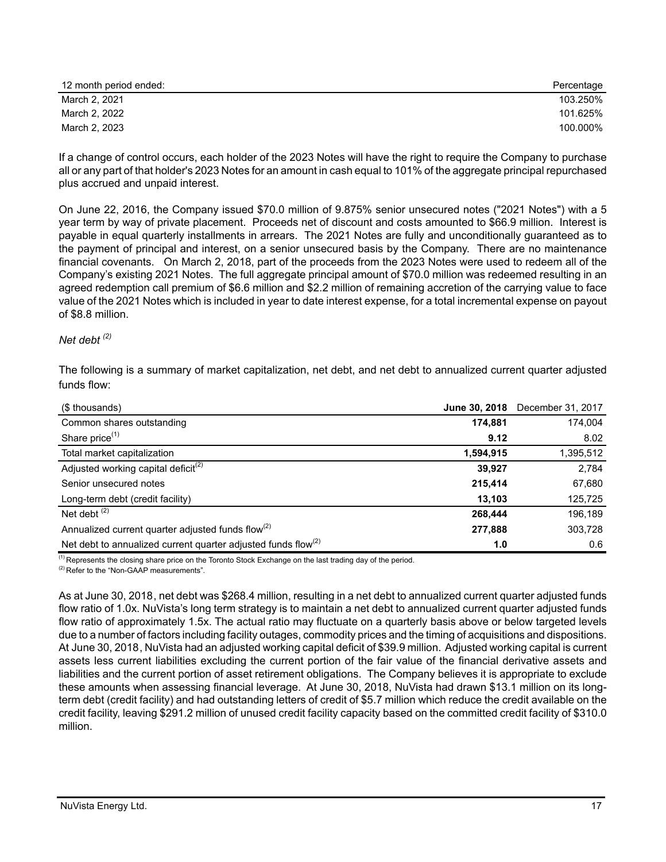| 12 month period ended: | Percentage |
|------------------------|------------|
| March 2, 2021          | 103.250%   |
| March 2, 2022          | 101.625%   |
| March 2, 2023          | 100.000%   |

If a change of control occurs, each holder of the 2023 Notes will have the right to require the Company to purchase all or any part of that holder's 2023 Notes for an amount in cash equal to 101% of the aggregate principal repurchased plus accrued and unpaid interest.

On June 22, 2016, the Company issued \$70.0 million of 9.875% senior unsecured notes ("2021 Notes") with a 5 year term by way of private placement. Proceeds net of discount and costs amounted to \$66.9 million. Interest is payable in equal quarterly installments in arrears. The 2021 Notes are fully and unconditionally guaranteed as to the payment of principal and interest, on a senior unsecured basis by the Company. There are no maintenance financial covenants. On March 2, 2018, part of the proceeds from the 2023 Notes were used to redeem all of the Company's existing 2021 Notes. The full aggregate principal amount of \$70.0 million was redeemed resulting in an agreed redemption call premium of \$6.6 million and \$2.2 million of remaining accretion of the carrying value to face value of the 2021 Notes which is included in year to date interest expense, for a total incremental expense on payout of \$8.8 million.

### *Net debt (2)*

The following is a summary of market capitalization, net debt, and net debt to annualized current quarter adjusted funds flow:

| (\$ thousands)                                                            |           | June 30, 2018 December 31, 2017 |
|---------------------------------------------------------------------------|-----------|---------------------------------|
| Common shares outstanding                                                 | 174,881   | 174,004                         |
| Share price <sup>(1)</sup>                                                | 9.12      | 8.02                            |
| Total market capitalization                                               | 1,594,915 | 1,395,512                       |
| Adjusted working capital deficit <sup>(2)</sup>                           | 39.927    | 2,784                           |
| Senior unsecured notes                                                    | 215,414   | 67,680                          |
| Long-term debt (credit facility)                                          | 13,103    | 125,725                         |
| Net debt $(2)$                                                            | 268,444   | 196,189                         |
| Annualized current quarter adjusted funds flow <sup>(2)</sup>             | 277,888   | 303,728                         |
| Net debt to annualized current quarter adjusted funds flow <sup>(2)</sup> | 1.0       | 0.6                             |

(1) Represents the closing share price on the Toronto Stock Exchange on the last trading day of the period.

(2) Refer to the "Non-GAAP measurements".

As at June 30, 2018, net debt was \$268.4 million, resulting in a net debt to annualized current quarter adjusted funds flow ratio of 1.0x. NuVista's long term strategy is to maintain a net debt to annualized current quarter adjusted funds flow ratio of approximately 1.5x. The actual ratio may fluctuate on a quarterly basis above or below targeted levels due to a number of factors including facility outages, commodity prices and the timing of acquisitions and dispositions. At June 30, 2018, NuVista had an adjusted working capital deficit of \$39.9 million. Adjusted working capital is current assets less current liabilities excluding the current portion of the fair value of the financial derivative assets and liabilities and the current portion of asset retirement obligations. The Company believes it is appropriate to exclude these amounts when assessing financial leverage. At June 30, 2018, NuVista had drawn \$13.1 million on its longterm debt (credit facility) and had outstanding letters of credit of \$5.7 million which reduce the credit available on the credit facility, leaving \$291.2 million of unused credit facility capacity based on the committed credit facility of \$310.0 million.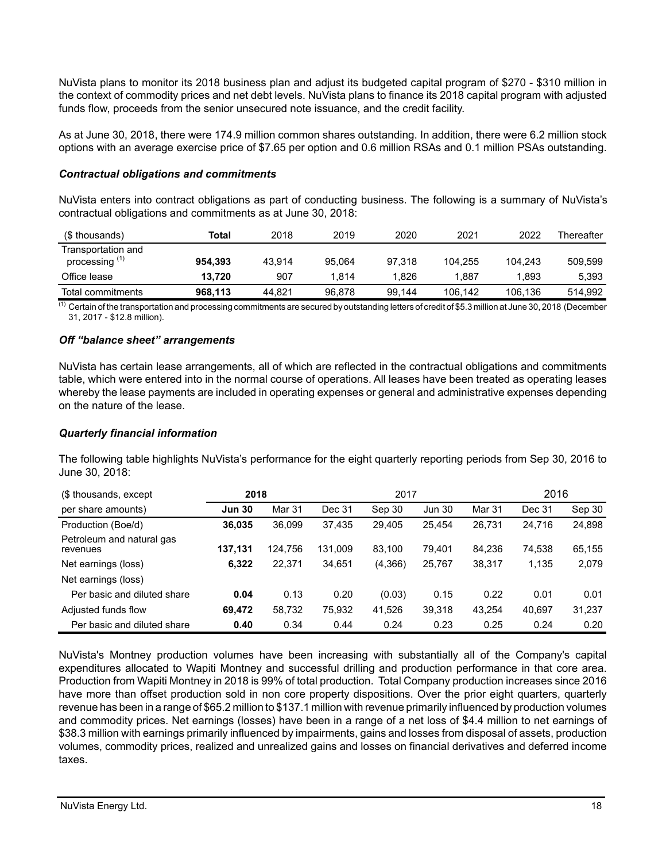NuVista plans to monitor its 2018 business plan and adjust its budgeted capital program of \$270 - \$310 million in the context of commodity prices and net debt levels. NuVista plans to finance its 2018 capital program with adjusted funds flow, proceeds from the senior unsecured note issuance, and the credit facility.

As at June 30, 2018, there were 174.9 million common shares outstanding. In addition, there were 6.2 million stock options with an average exercise price of \$7.65 per option and 0.6 million RSAs and 0.1 million PSAs outstanding.

### *Contractual obligations and commitments*

NuVista enters into contract obligations as part of conducting business. The following is a summary of NuVista's contractual obligations and commitments as at June 30, 2018:

| (\$ thousands)                                  | Total   | 2018   | 2019   | 2020   | 2021    | 2022    | Thereafter |
|-------------------------------------------------|---------|--------|--------|--------|---------|---------|------------|
| Transportation and<br>processing <sup>(1)</sup> | 954.393 | 43.914 | 95.064 | 97.318 | 104.255 | 104.243 | 509,599    |
| Office lease                                    | 13.720  | 907    | 1.814  | 1.826  | 887.⊺   | 1.893   | 5.393      |
| Total commitments                               | 968.113 | 44.821 | 96.878 | 99.144 | 106.142 | 106.136 | 514.992    |

 $\overline{^{(1)}}$  Certain of the transportation and processing commitments are secured by outstanding letters of credit of \$5.3 million at June 30, 2018 (December 31, 2017 - \$12.8 million).

### *Off "balance sheet" arrangements*

NuVista has certain lease arrangements, all of which are reflected in the contractual obligations and commitments table, which were entered into in the normal course of operations. All leases have been treated as operating leases whereby the lease payments are included in operating expenses or general and administrative expenses depending on the nature of the lease.

#### *Quarterly financial information*

The following table highlights NuVista's performance for the eight quarterly reporting periods from Sep 30, 2016 to June 30, 2018:

| (\$ thousands, except)                | 2018          |         | 2017    |         |               | 2016   |        |        |
|---------------------------------------|---------------|---------|---------|---------|---------------|--------|--------|--------|
| per share amounts)                    | <b>Jun 30</b> | Mar 31  | Dec 31  | Sep 30  | <b>Jun 30</b> | Mar 31 | Dec 31 | Sep 30 |
| Production (Boe/d)                    | 36.035        | 36.099  | 37.435  | 29.405  | 25.454        | 26,731 | 24.716 | 24,898 |
| Petroleum and natural gas<br>revenues | 137,131       | 124.756 | 131,009 | 83.100  | 79.401        | 84.236 | 74,538 | 65,155 |
| Net earnings (loss)                   | 6,322         | 22,371  | 34,651  | (4,366) | 25,767        | 38,317 | 1,135  | 2,079  |
| Net earnings (loss)                   |               |         |         |         |               |        |        |        |
| Per basic and diluted share           | 0.04          | 0.13    | 0.20    | (0.03)  | 0.15          | 0.22   | 0.01   | 0.01   |
| Adjusted funds flow                   | 69,472        | 58,732  | 75,932  | 41,526  | 39,318        | 43.254 | 40.697 | 31,237 |
| Per basic and diluted share           | 0.40          | 0.34    | 0.44    | 0.24    | 0.23          | 0.25   | 0.24   | 0.20   |

NuVista's Montney production volumes have been increasing with substantially all of the Company's capital expenditures allocated to Wapiti Montney and successful drilling and production performance in that core area. Production from Wapiti Montney in 2018 is 99% of total production. Total Company production increases since 2016 have more than offset production sold in non core property dispositions. Over the prior eight quarters, quarterly revenue has been in a range of \$65.2 million to \$137.1 million with revenue primarily influenced by production volumes and commodity prices. Net earnings (losses) have been in a range of a net loss of \$4.4 million to net earnings of \$38.3 million with earnings primarily influenced by impairments, gains and losses from disposal of assets, production volumes, commodity prices, realized and unrealized gains and losses on financial derivatives and deferred income taxes.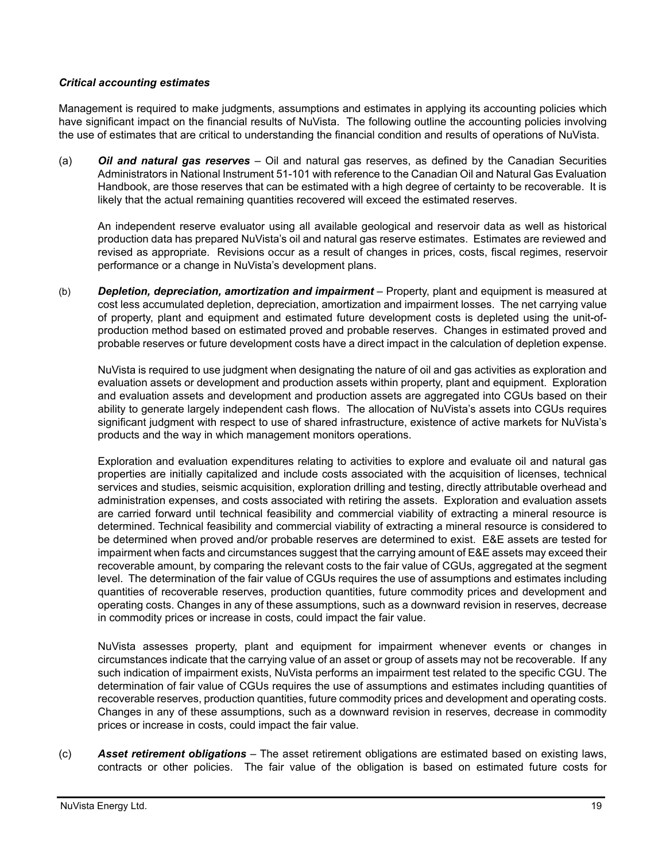# *Critical accounting estimates*

Management is required to make judgments, assumptions and estimates in applying its accounting policies which have significant impact on the financial results of NuVista. The following outline the accounting policies involving the use of estimates that are critical to understanding the financial condition and results of operations of NuVista.

(a) *Oil and natural gas reserves* – Oil and natural gas reserves, as defined by the Canadian Securities Administrators in National Instrument 51-101 with reference to the Canadian Oil and Natural Gas Evaluation Handbook, are those reserves that can be estimated with a high degree of certainty to be recoverable. It is likely that the actual remaining quantities recovered will exceed the estimated reserves.

An independent reserve evaluator using all available geological and reservoir data as well as historical production data has prepared NuVista's oil and natural gas reserve estimates. Estimates are reviewed and revised as appropriate. Revisions occur as a result of changes in prices, costs, fiscal regimes, reservoir performance or a change in NuVista's development plans.

(b) *Depletion, depreciation, amortization and impairment* – Property, plant and equipment is measured at cost less accumulated depletion, depreciation, amortization and impairment losses. The net carrying value of property, plant and equipment and estimated future development costs is depleted using the unit-ofproduction method based on estimated proved and probable reserves. Changes in estimated proved and probable reserves or future development costs have a direct impact in the calculation of depletion expense.

NuVista is required to use judgment when designating the nature of oil and gas activities as exploration and evaluation assets or development and production assets within property, plant and equipment. Exploration and evaluation assets and development and production assets are aggregated into CGUs based on their ability to generate largely independent cash flows. The allocation of NuVista's assets into CGUs requires significant judgment with respect to use of shared infrastructure, existence of active markets for NuVista's products and the way in which management monitors operations.

Exploration and evaluation expenditures relating to activities to explore and evaluate oil and natural gas properties are initially capitalized and include costs associated with the acquisition of licenses, technical services and studies, seismic acquisition, exploration drilling and testing, directly attributable overhead and administration expenses, and costs associated with retiring the assets. Exploration and evaluation assets are carried forward until technical feasibility and commercial viability of extracting a mineral resource is determined. Technical feasibility and commercial viability of extracting a mineral resource is considered to be determined when proved and/or probable reserves are determined to exist. E&E assets are tested for impairment when facts and circumstances suggest that the carrying amount of E&E assets may exceed their recoverable amount, by comparing the relevant costs to the fair value of CGUs, aggregated at the segment level. The determination of the fair value of CGUs requires the use of assumptions and estimates including quantities of recoverable reserves, production quantities, future commodity prices and development and operating costs. Changes in any of these assumptions, such as a downward revision in reserves, decrease in commodity prices or increase in costs, could impact the fair value.

NuVista assesses property, plant and equipment for impairment whenever events or changes in circumstances indicate that the carrying value of an asset or group of assets may not be recoverable. If any such indication of impairment exists, NuVista performs an impairment test related to the specific CGU. The determination of fair value of CGUs requires the use of assumptions and estimates including quantities of recoverable reserves, production quantities, future commodity prices and development and operating costs. Changes in any of these assumptions, such as a downward revision in reserves, decrease in commodity prices or increase in costs, could impact the fair value.

(c) *Asset retirement obligations* – The asset retirement obligations are estimated based on existing laws, contracts or other policies. The fair value of the obligation is based on estimated future costs for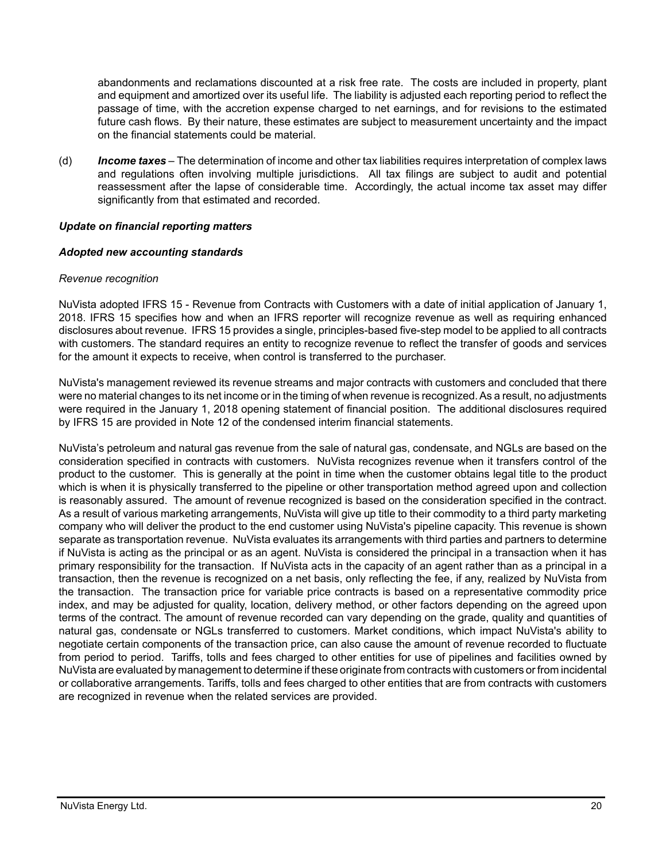abandonments and reclamations discounted at a risk free rate. The costs are included in property, plant and equipment and amortized over its useful life. The liability is adjusted each reporting period to reflect the passage of time, with the accretion expense charged to net earnings, and for revisions to the estimated future cash flows. By their nature, these estimates are subject to measurement uncertainty and the impact on the financial statements could be material.

(d) *Income taxes* – The determination of income and other tax liabilities requires interpretation of complex laws and regulations often involving multiple jurisdictions. All tax filings are subject to audit and potential reassessment after the lapse of considerable time. Accordingly, the actual income tax asset may differ significantly from that estimated and recorded.

### *Update on financial reporting matters*

### *Adopted new accounting standards*

### *Revenue recognition*

NuVista adopted IFRS 15 - Revenue from Contracts with Customers with a date of initial application of January 1, 2018. IFRS 15 specifies how and when an IFRS reporter will recognize revenue as well as requiring enhanced disclosures about revenue. IFRS 15 provides a single, principles-based five-step model to be applied to all contracts with customers. The standard requires an entity to recognize revenue to reflect the transfer of goods and services for the amount it expects to receive, when control is transferred to the purchaser.

NuVista's management reviewed its revenue streams and major contracts with customers and concluded that there were no material changes to its net income or in the timing of when revenue is recognized. As a result, no adjustments were required in the January 1, 2018 opening statement of financial position. The additional disclosures required by IFRS 15 are provided in Note 12 of the condensed interim financial statements.

NuVista's petroleum and natural gas revenue from the sale of natural gas, condensate, and NGLs are based on the consideration specified in contracts with customers. NuVista recognizes revenue when it transfers control of the product to the customer. This is generally at the point in time when the customer obtains legal title to the product which is when it is physically transferred to the pipeline or other transportation method agreed upon and collection is reasonably assured. The amount of revenue recognized is based on the consideration specified in the contract. As a result of various marketing arrangements, NuVista will give up title to their commodity to a third party marketing company who will deliver the product to the end customer using NuVista's pipeline capacity. This revenue is shown separate as transportation revenue. NuVista evaluates its arrangements with third parties and partners to determine if NuVista is acting as the principal or as an agent. NuVista is considered the principal in a transaction when it has primary responsibility for the transaction. If NuVista acts in the capacity of an agent rather than as a principal in a transaction, then the revenue is recognized on a net basis, only reflecting the fee, if any, realized by NuVista from the transaction. The transaction price for variable price contracts is based on a representative commodity price index, and may be adjusted for quality, location, delivery method, or other factors depending on the agreed upon terms of the contract. The amount of revenue recorded can vary depending on the grade, quality and quantities of natural gas, condensate or NGLs transferred to customers. Market conditions, which impact NuVista's ability to negotiate certain components of the transaction price, can also cause the amount of revenue recorded to fluctuate from period to period. Tariffs, tolls and fees charged to other entities for use of pipelines and facilities owned by NuVista are evaluated by management to determine if these originate from contracts with customers or from incidental or collaborative arrangements. Tariffs, tolls and fees charged to other entities that are from contracts with customers are recognized in revenue when the related services are provided.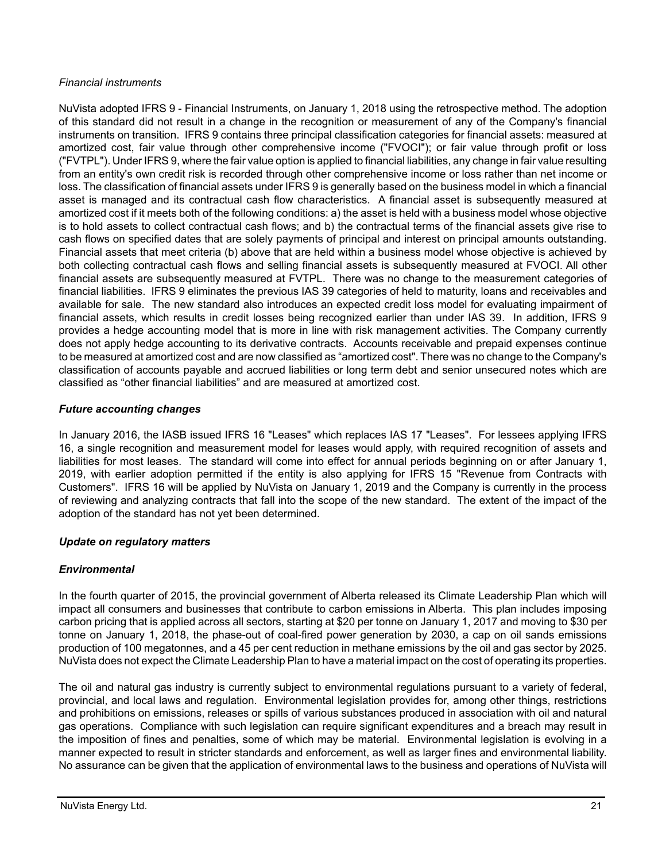# *Financial instruments*

NuVista adopted IFRS 9 - Financial Instruments, on January 1, 2018 using the retrospective method. The adoption of this standard did not result in a change in the recognition or measurement of any of the Company's financial instruments on transition. IFRS 9 contains three principal classification categories for financial assets: measured at amortized cost, fair value through other comprehensive income ("FVOCI"); or fair value through profit or loss ("FVTPL"). Under IFRS 9, where the fair value option is applied to financial liabilities, any change in fair value resulting from an entity's own credit risk is recorded through other comprehensive income or loss rather than net income or loss. The classification of financial assets under IFRS 9 is generally based on the business model in which a financial asset is managed and its contractual cash flow characteristics. A financial asset is subsequently measured at amortized cost if it meets both of the following conditions: a) the asset is held with a business model whose objective is to hold assets to collect contractual cash flows; and b) the contractual terms of the financial assets give rise to cash flows on specified dates that are solely payments of principal and interest on principal amounts outstanding. Financial assets that meet criteria (b) above that are held within a business model whose objective is achieved by both collecting contractual cash flows and selling financial assets is subsequently measured at FVOCI. All other financial assets are subsequently measured at FVTPL. There was no change to the measurement categories of financial liabilities. IFRS 9 eliminates the previous IAS 39 categories of held to maturity, loans and receivables and available for sale. The new standard also introduces an expected credit loss model for evaluating impairment of financial assets, which results in credit losses being recognized earlier than under IAS 39. In addition, IFRS 9 provides a hedge accounting model that is more in line with risk management activities. The Company currently does not apply hedge accounting to its derivative contracts. Accounts receivable and prepaid expenses continue to be measured at amortized cost and are now classified as "amortized cost". There was no change to the Company's classification of accounts payable and accrued liabilities or long term debt and senior unsecured notes which are classified as "other financial liabilities" and are measured at amortized cost.

# *Future accounting changes*

In January 2016, the IASB issued IFRS 16 "Leases" which replaces IAS 17 "Leases". For lessees applying IFRS 16, a single recognition and measurement model for leases would apply, with required recognition of assets and liabilities for most leases. The standard will come into effect for annual periods beginning on or after January 1, 2019, with earlier adoption permitted if the entity is also applying for IFRS 15 "Revenue from Contracts with Customers". IFRS 16 will be applied by NuVista on January 1, 2019 and the Company is currently in the process of reviewing and analyzing contracts that fall into the scope of the new standard. The extent of the impact of the adoption of the standard has not yet been determined.

# *Update on regulatory matters*

# *Environmental*

In the fourth quarter of 2015, the provincial government of Alberta released its Climate Leadership Plan which will impact all consumers and businesses that contribute to carbon emissions in Alberta. This plan includes imposing carbon pricing that is applied across all sectors, starting at \$20 per tonne on January 1, 2017 and moving to \$30 per tonne on January 1, 2018, the phase-out of coal-fired power generation by 2030, a cap on oil sands emissions production of 100 megatonnes, and a 45 per cent reduction in methane emissions by the oil and gas sector by 2025. NuVista does not expect the Climate Leadership Plan to have a material impact on the cost of operating its properties.

The oil and natural gas industry is currently subject to environmental regulations pursuant to a variety of federal, provincial, and local laws and regulation. Environmental legislation provides for, among other things, restrictions and prohibitions on emissions, releases or spills of various substances produced in association with oil and natural gas operations. Compliance with such legislation can require significant expenditures and a breach may result in the imposition of fines and penalties, some of which may be material. Environmental legislation is evolving in a manner expected to result in stricter standards and enforcement, as well as larger fines and environmental liability. No assurance can be given that the application of environmental laws to the business and operations of NuVista will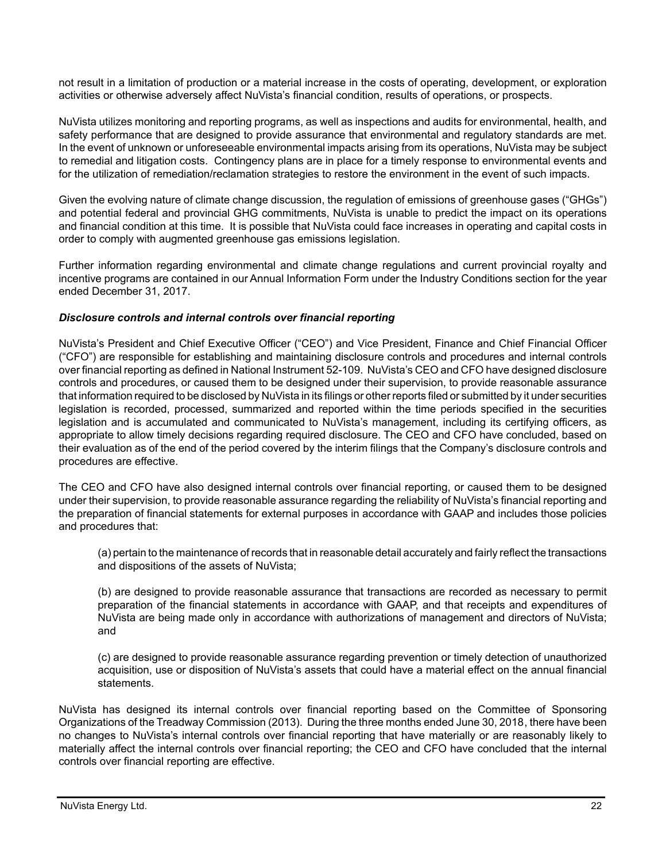not result in a limitation of production or a material increase in the costs of operating, development, or exploration activities or otherwise adversely affect NuVista's financial condition, results of operations, or prospects.

NuVista utilizes monitoring and reporting programs, as well as inspections and audits for environmental, health, and safety performance that are designed to provide assurance that environmental and regulatory standards are met. In the event of unknown or unforeseeable environmental impacts arising from its operations, NuVista may be subject to remedial and litigation costs. Contingency plans are in place for a timely response to environmental events and for the utilization of remediation/reclamation strategies to restore the environment in the event of such impacts.

Given the evolving nature of climate change discussion, the regulation of emissions of greenhouse gases ("GHGs") and potential federal and provincial GHG commitments, NuVista is unable to predict the impact on its operations and financial condition at this time. It is possible that NuVista could face increases in operating and capital costs in order to comply with augmented greenhouse gas emissions legislation.

Further information regarding environmental and climate change regulations and current provincial royalty and incentive programs are contained in our Annual Information Form under the Industry Conditions section for the year ended December 31, 2017.

### *Disclosure controls and internal controls over financial reporting*

NuVista's President and Chief Executive Officer ("CEO") and Vice President, Finance and Chief Financial Officer ("CFO") are responsible for establishing and maintaining disclosure controls and procedures and internal controls over financial reporting as defined in National Instrument 52-109. NuVista's CEO and CFO have designed disclosure controls and procedures, or caused them to be designed under their supervision, to provide reasonable assurance that information required to be disclosed by NuVista in its filings or other reports filed or submitted by it under securities legislation is recorded, processed, summarized and reported within the time periods specified in the securities legislation and is accumulated and communicated to NuVista's management, including its certifying officers, as appropriate to allow timely decisions regarding required disclosure. The CEO and CFO have concluded, based on their evaluation as of the end of the period covered by the interim filings that the Company's disclosure controls and procedures are effective.

The CEO and CFO have also designed internal controls over financial reporting, or caused them to be designed under their supervision, to provide reasonable assurance regarding the reliability of NuVista's financial reporting and the preparation of financial statements for external purposes in accordance with GAAP and includes those policies and procedures that:

(a) pertain to the maintenance of records that in reasonable detail accurately and fairly reflect the transactions and dispositions of the assets of NuVista;

(b) are designed to provide reasonable assurance that transactions are recorded as necessary to permit preparation of the financial statements in accordance with GAAP, and that receipts and expenditures of NuVista are being made only in accordance with authorizations of management and directors of NuVista; and

(c) are designed to provide reasonable assurance regarding prevention or timely detection of unauthorized acquisition, use or disposition of NuVista's assets that could have a material effect on the annual financial statements.

NuVista has designed its internal controls over financial reporting based on the Committee of Sponsoring Organizations of the Treadway Commission (2013). During the three months ended June 30, 2018, there have been no changes to NuVista's internal controls over financial reporting that have materially or are reasonably likely to materially affect the internal controls over financial reporting; the CEO and CFO have concluded that the internal controls over financial reporting are effective.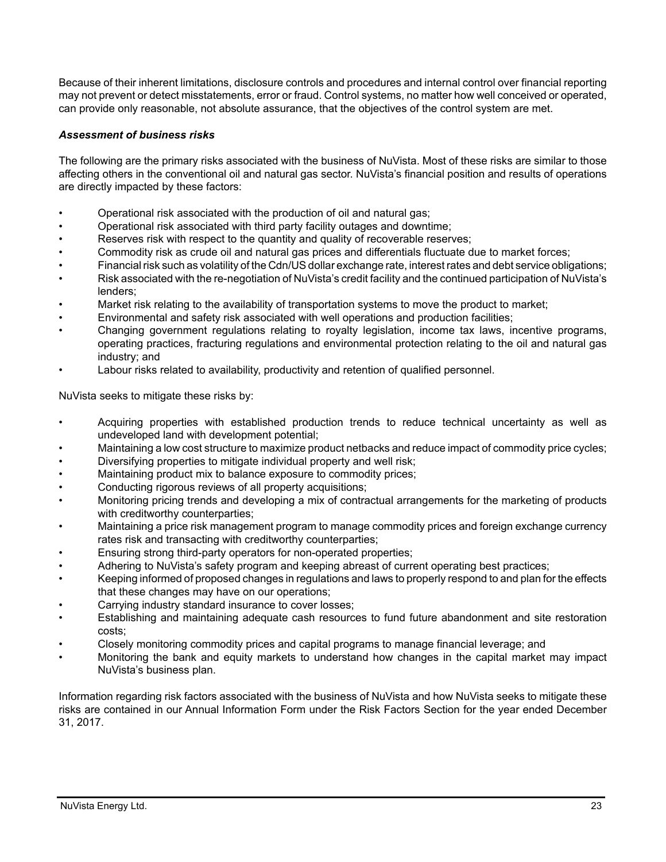Because of their inherent limitations, disclosure controls and procedures and internal control over financial reporting may not prevent or detect misstatements, error or fraud. Control systems, no matter how well conceived or operated, can provide only reasonable, not absolute assurance, that the objectives of the control system are met.

## *Assessment of business risks*

The following are the primary risks associated with the business of NuVista. Most of these risks are similar to those affecting others in the conventional oil and natural gas sector. NuVista's financial position and results of operations are directly impacted by these factors:

- Operational risk associated with the production of oil and natural gas;
- Operational risk associated with third party facility outages and downtime;
- Reserves risk with respect to the quantity and quality of recoverable reserves;
- Commodity risk as crude oil and natural gas prices and differentials fluctuate due to market forces;
- Financial risk such as volatility of the Cdn/US dollar exchange rate, interest rates and debt service obligations;
- Risk associated with the re-negotiation of NuVista's credit facility and the continued participation of NuVista's lenders;
- Market risk relating to the availability of transportation systems to move the product to market;
- Environmental and safety risk associated with well operations and production facilities;
- Changing government regulations relating to royalty legislation, income tax laws, incentive programs, operating practices, fracturing regulations and environmental protection relating to the oil and natural gas industry; and
- Labour risks related to availability, productivity and retention of qualified personnel.

NuVista seeks to mitigate these risks by:

- Acquiring properties with established production trends to reduce technical uncertainty as well as undeveloped land with development potential;
- Maintaining a low cost structure to maximize product netbacks and reduce impact of commodity price cycles;
- Diversifying properties to mitigate individual property and well risk;
- Maintaining product mix to balance exposure to commodity prices;
- Conducting rigorous reviews of all property acquisitions;
- Monitoring pricing trends and developing a mix of contractual arrangements for the marketing of products with creditworthy counterparties;
- Maintaining a price risk management program to manage commodity prices and foreign exchange currency rates risk and transacting with creditworthy counterparties;
- Ensuring strong third-party operators for non-operated properties;
- Adhering to NuVista's safety program and keeping abreast of current operating best practices;
- Keeping informed of proposed changes in regulations and laws to properly respond to and plan for the effects that these changes may have on our operations;
- Carrying industry standard insurance to cover losses;
- Establishing and maintaining adequate cash resources to fund future abandonment and site restoration costs;
- Closely monitoring commodity prices and capital programs to manage financial leverage; and
- Monitoring the bank and equity markets to understand how changes in the capital market may impact NuVista's business plan.

Information regarding risk factors associated with the business of NuVista and how NuVista seeks to mitigate these risks are contained in our Annual Information Form under the Risk Factors Section for the year ended December 31, 2017.